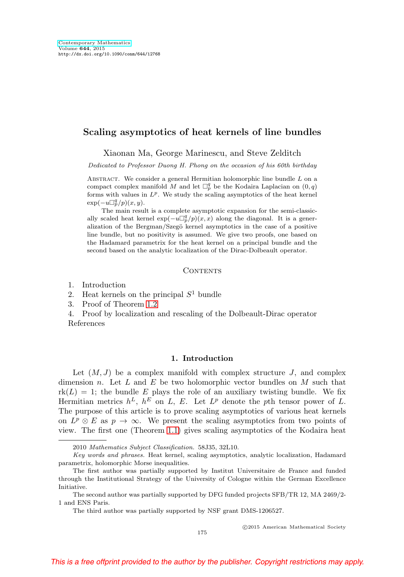# **Scaling asymptotics of heat kernels of line bundles**

Xiaonan Ma, George Marinescu, and Steve Zelditch

Dedicated to Professor Duong H. Phong on the occasion of his 60th birthday

ABSTRACT. We consider a general Hermitian holomorphic line bundle  $L$  on a compact complex manifold M and let  $\Box_p^q$  be the Kodaira Laplacian on  $(0, q)$ forms with values in  $L^p$ . We study the scaling asymptotics of the heat kernel  $\exp(-u\Box_p^q/p)(x, y).$ 

The main result is a complete asymptotic expansion for the semi-classically scaled heat kernel  $\exp(-u\Box_p^q/p)(x,x)$  along the diagonal. It is a generalization of the Bergman/Szegö kernel asymptotics in the case of a positive line bundle, but no positivity is assumed. We give two proofs, one based on the Hadamard parametrix for the heat kernel on a principal bundle and the second based on the analytic localization of the Dirac-Dolbeault operator.

#### CONTENTS

1. Introduction

2. Heat kernels on the principal  $S<sup>1</sup>$  bundle

3. Proof of Theorem [1.2](#page-4-0)

4. Proof by localization and rescaling of the Dolbeault-Dirac operator References

# **1. Introduction**

Let  $(M, J)$  be a complex manifold with complex structure J, and complex dimension n. Let L and E be two holomorphic vector bundles on M such that  $rk(L) = 1$ ; the bundle E plays the role of an auxiliary twisting bundle. We fix Hermitian metrics  $h^L$ ,  $h^E$  on L, E. Let  $L^p$  denote the pth tensor power of L. The purpose of this article is to prove scaling asymptotics of various heat kernels on  $L^p \otimes E$  as  $p \to \infty$ . We present the scaling asymptotics from two points of view. The first one (Theorem [1.1\)](#page-2-0) gives scaling asymptotics of the Kodaira heat

-c 2015 American Mathematical Society

175

<sup>2010</sup> Mathematics Subject Classification. 58J35, 32L10.

Key words and phrases. Heat kernel, scaling asymptotics, analytic localization, Hadamard parametrix, holomorphic Morse inequalities.

The first author was partially supported by Institut Universitaire de France and funded through the Institutional Strategy of the University of Cologne within the German Excellence Initiative.

The second author was partially supported by DFG funded projects SFB/TR 12, MA 2469/2- 1 and ENS Paris.

The third author was partially supported by NSF grant DMS-1206527.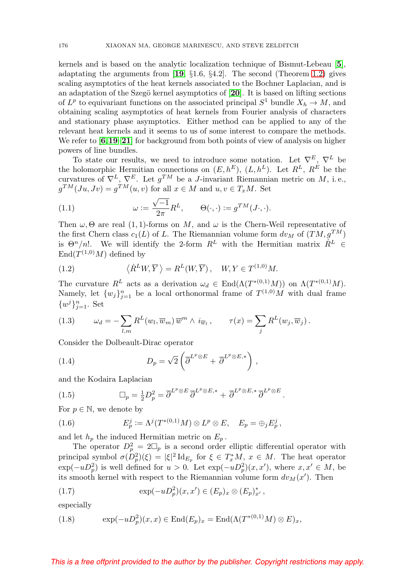kernels and is based on the analytic localization technique of Bismut-Lebeau [**[5](#page-26-0)**], adaptating the arguments from [**[19](#page-27-0)**, §1.6, §4.2]. The second (Theorem [1.2\)](#page-4-0) gives scaling asymptotics of the heat kernels associated to the Bochner Laplacian, and is an adaptation of the Szegö kernel asymptotics of [[20](#page-27-1)]. It is based on lifting sections of  $L^p$  to equivariant functions on the associated principal  $S^1$  bundle  $X_h \to M$ , and obtaining scaling asymptotics of heat kernels from Fourier analysis of characters and stationary phase asymptotics. Either method can be applied to any of the relevant heat kernels and it seems to us of some interest to compare the methods. We refer to [**[6](#page-26-1)**,**[19](#page-27-0)**–**[21](#page-27-2)**] for background from both points of view of analysis on higher powers of line bundles.

To state our results, we need to introduce some notation. Let  $\nabla^E$ ,  $\nabla^L$  be the holomorphic Hermitian connections on  $(E, h^E)$ ,  $(L, h^L)$ . Let  $R^L$ ,  $R^E$  be the curvatures of  $\nabla^L$ ,  $\nabla^E$ . Let  $g^{TM}$  be a *J*-invariant Riemannian metric on *M*, i.e.,  $g^{TM}(Ju, Jv) = g^{TM}(u, v)$  for all  $x \in M$  and  $u, v \in T_xM$ . Set

<span id="page-1-0"></span>(1.1) 
$$
\omega := \frac{\sqrt{-1}}{2\pi} R^{L}, \qquad \Theta(\cdot, \cdot) := g^{TM}(J \cdot, \cdot).
$$

Then  $\omega, \Theta$  are real (1, 1)-forms on M, and  $\omega$  is the Chern-Weil representative of the first Chern class  $c_1(L)$  of L. The Riemannian volume form  $dv_M$  of  $(TM, g^{TM})$ is  $\Theta^n/n!$ . We will identify the 2-form  $R^L$  with the Hermitian matrix  $R^L \in$  $\text{End}(T^{(1,0)}M)$  defined by

<span id="page-1-2"></span>(1.2) 
$$
\langle \dot{R}^L W, \overline{Y} \rangle = R^L(W, \overline{Y}), \quad W, Y \in T^{(1,0)}M.
$$

The curvature  $R^L$  acts as a derivation  $\omega_d \in \text{End}(\Lambda(T^{*(0,1)}M))$  on  $\Lambda(T^{*(0,1)}M)$ . Namely, let  $\{w_j\}_{j=1}^n$  be a local orthonormal frame of  $T^{(1,0)}M$  with dual frame  $\{w^j\}_{j=1}^n$ . Set

<span id="page-1-1"></span>(1.3) 
$$
\omega_d = -\sum_{l,m} R^L(w_l, \overline{w}_m) \overline{w}^m \wedge i_{\overline{w}_l}, \qquad \tau(x) = \sum_j R^L(w_j, \overline{w}_j).
$$

Consider the Dolbeault-Dirac operator

(1.4) 
$$
D_p = \sqrt{2} \left( \overline{\partial}^{L^p \otimes E} + \overline{\partial}^{L^p \otimes E,*} \right),
$$

and the Kodaira Laplacian

(1.5) 
$$
\Box_p = \frac{1}{2} D_p^2 = \overline{\partial}^{L^p \otimes E} \overline{\partial}^{L^p \otimes E,*} + \overline{\partial}^{L^p \otimes E,*} \overline{\partial}^{L^p \otimes E}.
$$

For  $p \in \mathbb{N}$ , we denote by

(1.6) 
$$
E_p^j := \Lambda^j(T^{*(0,1)}M) \otimes L^p \otimes E, \quad E_p = \bigoplus_j E_p^j,
$$

and let  $h_p$  the induced Hermitian metric on  $E_p$ .

The operator  $D_p^2 = 2 \Box_p$  is a second order elliptic differential operator with principal symbol  $\sigma(D_p^2)(\xi) = |\xi|^2 \mathrm{Id}_{E_p}$  for  $\xi \in T_x^*M$ ,  $x \in M$ . The heat operator  $\exp(-u D_p^2)$  is well defined for  $u > 0$ . Let  $\exp(-u D_p^2)(x, x')$ , where  $x, x' \in M$ , be its smooth kernel with respect to the Riemannian volume form  $dv_M(x')$ . Then

(1.7) 
$$
\exp(-uD_p^2)(x,x') \in (E_p)_x \otimes (E_p)_x^*,
$$

especially

(1.8) 
$$
\exp(-uD_p^2)(x,x) \in \text{End}(E_p)_x = \text{End}(\Lambda(T^{*(0,1)}M) \otimes E)_x,
$$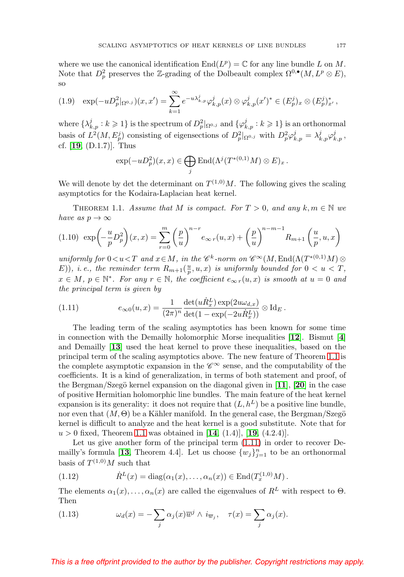where we use the canonical identification  $\text{End}(L^p) = \mathbb{C}$  for any line bundle L on M. Note that  $D_p^2$  preserves the Z-grading of the Dolbeault complex  $\Omega^{0,\bullet}(M,L^p\otimes E)$ , so

$$
(1.9) \quad \exp(-uD_p^2|_{\Omega^{0,j}})(x,x') = \sum_{k=1}^{\infty} e^{-u\lambda_{k,p}^j} \varphi_{k,p}^j(x) \otimes \varphi_{k,p}^j(x')^* \in (E_p^j)_x \otimes (E_p^j)_x^*,
$$

where  $\{\lambda_{k,p}^j : k \geqslant 1\}$  is the spectrum of  $D_p^2|_{\Omega^{0,j}}$  and  $\{\varphi_{k,p}^j : k \geqslant 1\}$  is an orthonormal basis of  $L^2(M, E_p^j)$  consisting of eigensections of  $D_p^2|_{\Omega^{0,j}}$  with  $D_p^2 \varphi_{k,p}^j = \lambda_{k,p}^j \varphi_{k,p}^j$ , cf. [**[19](#page-27-0)**, (D.1.7)]. Thus

$$
\exp(-uD_p^2)(x,x) \in \bigoplus_j \text{End}(\Lambda^j(T^{*(0,1)}M) \otimes E)_x.
$$

We will denote by det the determinant on  $T^{(1,0)}M$ . The following gives the scaling asymptotics for the Kodaira-Laplacian heat kernel.

<span id="page-2-0"></span>THEOREM 1.1. Assume that M is compact. For  $T > 0$ , and any  $k, m \in \mathbb{N}$  we have as  $p \to \infty$ 

<span id="page-2-2"></span>
$$
(1.10) \exp\left(-\frac{u}{p}D_p^2\right)(x,x) = \sum_{r=0}^m \left(\frac{p}{u}\right)^{n-r} e_{\infty r}(u,x) + \left(\frac{p}{u}\right)^{n-m-1} R_{m+1}\left(\frac{u}{p}, u, x\right)
$$

uniformly for  $0 < u < T$  and  $x \in M$ , in the  $\mathscr{C}^k$ -norm on  $\mathscr{C}^{\infty}(M, \text{End}(\Lambda(T^{*(0,1)}M)) \otimes$  $(E)$ ), *i.e.*, the reminder term  $R_{m+1}(\frac{u}{p},u,x)$  is uniformly bounded for  $0 < u < T$ ,  $x \in M$ ,  $p \in \mathbb{N}^*$ . For any  $r \in \mathbb{N}$ , the coefficient  $e_{\infty r}(u, x)$  is smooth at  $u = 0$  and the principal term is given by

<span id="page-2-1"></span>(1.11) 
$$
e_{\infty 0}(u,x) = \frac{1}{(2\pi)^n} \frac{\det(u\dot{R}_x^L) \exp(2u\omega_{d,x})}{\det(1 - \exp(-2u\dot{R}_x^L))} \otimes \mathrm{Id}_E.
$$

The leading term of the scaling asymptotics has been known for some time in connection with the Demailly holomorphic Morse inequalities [**[12](#page-27-3)**]. Bismut [**[4](#page-26-2)**] and Demailly [**[13](#page-27-4)**] used the heat kernel to prove these inequalities, based on the principal term of the scaling asymptotics above. The new feature of Theorem [1.1](#page-2-0) is the complete asymptotic expansion in the  $\mathscr{C}^{\infty}$  sense, and the computability of the coefficients. It is a kind of generalization, in terms of both statement and proof, of the Bergman/Szegö kernel expansion on the diagonal given in  $[11]$  $[11]$  $[11]$ ,  $[20]$  $[20]$  $[20]$  in the case of positive Hermitian holomorphic line bundles. The main feature of the heat kernel expansion is its generality: it does not require that  $(L, h^L)$  be a positive line bundle, nor even that  $(M, \Theta)$  be a Kähler manifold. In the general case, the Bergman/Szegö kernel is difficult to analyze and the heat kernel is a good substitute. Note that for  $u > 0$  fixed, Theorem [1.1](#page-2-0) was obtained in [[14](#page-27-6), (1.4)], [[19](#page-27-0), (4.2.4)].

Let us give another form of the principal term [\(1.11\)](#page-2-1) in order to recover De-mailly's formula [[13](#page-27-4), Theorem 4.4]. Let us choose  $\{w_j\}_{j=1}^n$  to be an orthonormal basis of  $T^{(1,0)}M$  such that

<span id="page-2-3"></span>(1.12) 
$$
\dot{R}^L(x) = \text{diag}(\alpha_1(x), \dots, \alpha_n(x)) \in \text{End}(T_x^{(1,0)}M).
$$

The elements  $\alpha_1(x), \ldots, \alpha_n(x)$  are called the eigenvalues of  $R^L$  with respect to  $\Theta$ . Then

(1.13) 
$$
\omega_d(x) = -\sum_j \alpha_j(x) \overline{w}^j \wedge i_{\overline{w}_j}, \quad \tau(x) = \sum_j \alpha_j(x).
$$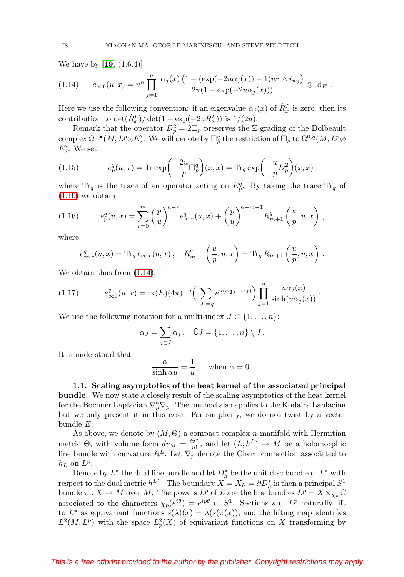We have by [**[19](#page-27-0)**, (1.6.4)]

<span id="page-3-0"></span>(1.14) 
$$
e_{\infty 0}(u,x) = u^n \prod_{j=1}^n \frac{\alpha_j(x) \left(1 + (\exp(-2u\alpha_j(x)) - 1)\overline{w}^j \wedge i_{\overline{w}_j}\right)}{2\pi(1 - \exp(-2u\alpha_j(x)))} \otimes \text{Id}_E.
$$

Here we use the following convention: if an eigenvalue  $\alpha_j(x)$  of  $\dot{R}_x^L$  is zero, then its contribution to  $\det(\dot{R}_x^L)/\det(1 - \exp(-2u\dot{R}_x^L))$  is  $1/(2u)$ .

Remark that the operator  $D_p^2 = 2\square_p$  preserves the Z-grading of the Dolbeault complex  $\Omega^{0,\bullet}(M,L^p\otimes E)$ . We will denote by  $\Box^q_p$  the restriction of  $\Box_p$  to  $\Omega^{0,q}(M,L^p\otimes E)$ E). We set

<span id="page-3-1"></span>(1.15) 
$$
e_p^q(u,x) = \text{Tr} \exp\left(-\frac{2u}{p}\Box_p^q\right)(x,x) = \text{Tr}_q \exp\left(-\frac{u}{p}D_p^2\right)(x,x).
$$

where  $\text{Tr}_q$  is the trace of an operator acting on  $E_p^q$ . By taking the trace  $\text{Tr}_q$  of  $(1.10)$  we obtain

(1.16) 
$$
e_p^q(u,x) = \sum_{r=0}^m \left(\frac{p}{u}\right)^{n-r} e_{\infty r}^q(u,x) + \left(\frac{p}{u}\right)^{n-m-1} R_{m+1}^q\left(\frac{u}{p}, u, x\right),
$$

where

$$
e^q_{\infty r}(u,x) = \text{Tr}_q e_{\infty r}(u,x), \quad R^q_{m+1}\left(\frac{u}{p},u,x\right) = \text{Tr}_q R_{m+1}\left(\frac{u}{p},u,x\right).
$$

We obtain thus from  $(1.14)$ ,

(1.17) 
$$
e_{\infty 0}^q(u,x) = \text{rk}(E)(4\pi)^{-n} \left( \sum_{|J|=q} e^{u(\alpha_{\mathbf{G}J} - \alpha_J)} \right) \prod_{j=1}^n \frac{u\alpha_j(x)}{\sinh(u\alpha_j(x))}.
$$

We use the following notation for a multi-index  $J \subset \{1,\ldots,n\}$ :

$$
\alpha_J = \sum_{j \in J} \alpha_j, \quad \complement J = \{1, \ldots, n\} \setminus J.
$$

It is understood that

$$
\frac{\alpha}{\sinh \alpha u} = \frac{1}{u}, \quad \text{when } \alpha = 0 \, .
$$

**1.1. Scaling asymptotics of the heat kernel of the associated principal bundle.** We now state a closely result of the scaling asymptotics of the heat kernel for the Bochner Laplacian  $\nabla_p^* \nabla_p$ . The method also applies to the Kodaira Laplacian but we only present it in this case. For simplicity, we do not twist by a vector bundle E.

As above, we denote by  $(M, \Theta)$  a compact complex *n*-manifold with Hermitian metric  $\Theta$ , with volume form  $dv_M = \frac{\Theta^n}{n!}$ , and let  $(L, h^L) \to M$  be a holomorphic line bundle with curvature  $R^L$ . Let  $\nabla_p$  denote the Chern connection associated to  $h_L$  on  $L^p$ .

Denote by  $L^*$  the dual line bundle and let  $D_h^*$  be the unit disc bundle of  $L^*$  with respect to the dual metric  $h^{L^*}$ . The boundary  $X = X_h = \partial D_h^*$  is then a principal  $S^1$ bundle  $\pi: X \to M$  over M. The powers  $L^p$  of L are the line bundles  $L^p = X \times_{\chi_p} \mathbb{C}$ associated to the characters  $\chi_p(e^{i\theta}) = e^{ip\theta}$  of  $S^1$ . Sections s of  $L^p$  naturally lift to  $L^*$  as equivariant functions  $\hat{s}(\lambda)(x) = \lambda(s(\pi(x)))$ , and the lifting map identifies  $L^2(M, L^p)$  with the space  $L^2_p(X)$  of equivariant functions on X transforming by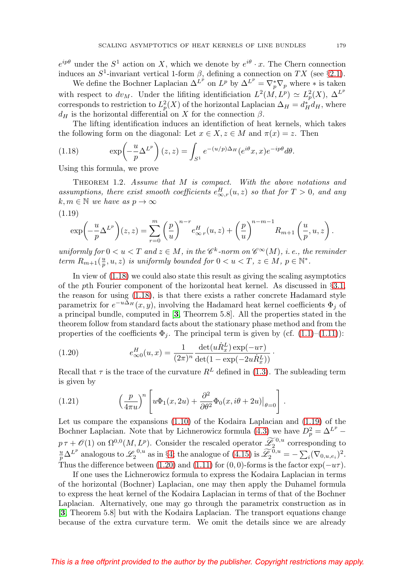$e^{ip\theta}$  under the  $S^1$  action on X, which we denote by  $e^{i\theta} \cdot x$ . The Chern connection induces an  $S^1$ -invariant vertical 1-form  $\beta$ , defining a connection on TX (see §[2.1\)](#page-9-0).

We define the Bochner Laplacian  $\Delta^{L^p}$  on  $L^p$  by  $\Delta^{L^p} = \nabla_p^* \nabla_p$  where  $*$  is taken with respect to  $dv_M$ . Under the lifiting identificiation  $L^2(M, L^p) \simeq L_p^2(X), \Delta^{L^p}$ corresponds to restriction to  $L_p^2(X)$  of the horizontal Laplacian  $\Delta_H = d_H^* d_H$ , where  $d_H$  is the horizontal differential on X for the connection  $\beta$ .

The lifting identification induces an identifiction of heat kernels, which takes the following form on the diagonal: Let  $x \in X$ ,  $z \in M$  and  $\pi(x) = z$ . Then

<span id="page-4-1"></span>(1.18) 
$$
\exp\left(-\frac{u}{p}\Delta^{L^p}\right)(z,z) = \int_{S^1} e^{-(u/p)\Delta_H} (e^{i\theta}x, x) e^{-ip\theta} d\theta.
$$

Using this formula, we prove

<span id="page-4-0"></span>THEOREM 1.2. Assume that M is compact. With the above notations and assumptions, there exist smooth coefficients  $e_{\infty,r}^H(u,z)$  so that for  $T > 0$ , and any  $k, m \in \mathbb{N}$  we have as  $p \to \infty$ (1.19)

<span id="page-4-2"></span>
$$
\exp\left(-\frac{u}{p}\Delta^{L^p}\right)(z,z) = \sum_{r=0}^m \left(\frac{p}{u}\right)^{n-r} e^H_{\infty r}(u,z) + \left(\frac{p}{u}\right)^{n-m-1} R_{m+1}\left(\frac{u}{p},u,z\right).
$$

uniformly for  $0 < u < T$  and  $z \in M$ , in the  $\mathscr{C}^k$ -norm on  $\mathscr{C}^{\infty}(M)$ , i.e., the reminder term  $R_{m+1}(\frac{u}{p},u,z)$  is uniformly bounded for  $0 < u < T$ ,  $z \in M$ ,  $p \in \mathbb{N}^*$ .

In view of [\(1.18\)](#page-4-1) we could also state this result as giving the scaling asymptotics of the pth Fourier component of the horizontal heat kernel. As discussed in §[3.1,](#page-12-0) the reason for using [\(1.18\)](#page-4-1), is that there exists a rather concrete Hadamard style parametrix for  $e^{-u\Delta_H}(x, y)$ , involving the Hadamard heat kernel coefficients  $\Phi_i$  of a principal bundle, computed in [**[3](#page-26-3)**, Theorrem 5.8]. All the properties stated in the theorem follow from standard facts about the stationary phase method and from the properties of the coefficients  $\Phi_j$ . The principal term is given by (cf. [\(1.1\)](#page-1-0)–[\(1.11\)](#page-2-1)):

<span id="page-4-3"></span>(1.20) 
$$
e_{\infty 0}^H(u, x) = \frac{1}{(2\pi)^n} \frac{\det(u\dot{R}_x^L) \exp(-u\tau)}{\det(1 - \exp(-2u\dot{R}_x^L))}.
$$

Recall that  $\tau$  is the trace of the curvature  $R^L$  defined in [\(1.3\)](#page-1-1). The subleading term is given by

<span id="page-4-4"></span>(1.21) 
$$
\left(\frac{p}{4\pi u}\right)^n \left[ u\Phi_1(x, 2u) + \frac{\partial^2}{\partial \theta^2} \Phi_0(x, i\theta + 2u) \big|_{\theta=0} \right].
$$

Let us compare the expansions [\(1.10\)](#page-2-2) of the Kodaira Laplacian and [\(1.19\)](#page-4-2) of the Bochner Laplacian. Note that by Lichnerowicz formula [\(4.3\)](#page-23-0) we have  $D_p^2 = \Delta^{L^p}$  –  $p \tau + \mathcal{O}(1)$  on  $\Omega^{0,0}(M, L^p)$ . Consider the rescaled operator  $\widetilde{\mathscr{L}}_2^{0,u}$  corresponding to  $\frac{u}{p}\Delta^{L^p}$  analogous to  $\mathscr{L}_2^{0,u}$  as in §[4;](#page-22-0) the analogue of [\(4.15\)](#page-25-0) is  $\widetilde{\mathscr{L}}_2^{0,u} = -\sum_i (\nabla_{0,u,e_i})^2$ . Thus the difference between [\(1.20\)](#page-4-3) and [\(1.11\)](#page-2-1) for (0,0)-forms is the factor  $\exp(-u\tau)$ .

If one uses the Lichnerowicz formula to express the Kodaira Laplacian in terms of the horizontal (Bochner) Laplacian, one may then apply the Duhamel formula to express the heat kernel of the Kodaira Laplacian in terms of that of the Bochner Laplacian. Alternatively, one may go through the parametrix construction as in [**[3](#page-26-3)**, Theorem 5.8] but with the Kodaira Laplacian. The transport equations change because of the extra curvature term. We omit the details since we are already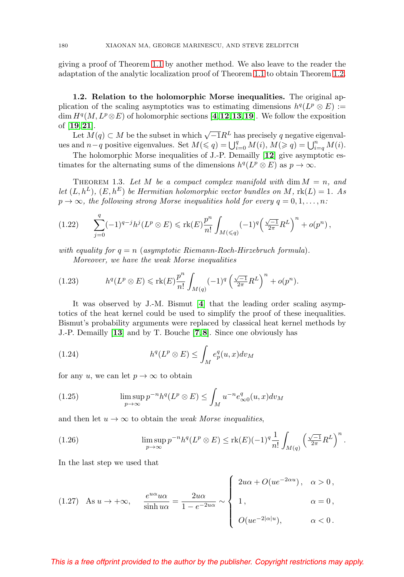giving a proof of Theorem [1.1](#page-2-0) by another method. We also leave to the reader the adaptation of the analytic localization proof of Theorem [1.1](#page-2-0) to obtain Theorem [1.2.](#page-4-0)

**1.2. Relation to the holomorphic Morse inequalities.** The original application of the scaling asymptotics was to estimating dimensions  $h^q(L^p \otimes E) :=$ dim  $H^q(M, L^p \otimes E)$  of holomorphic sections [**[4](#page-26-2)**, **[12](#page-27-3)**, **[13](#page-27-4)**, **[19](#page-27-0)**]. We follow the exposition of [**[19](#page-27-0)**,**[21](#page-27-2)**].

Let  $M(q) \subset M$  be the subset in which  $\sqrt{-1}R^L$  has precisely q negative eigenvalues and  $n-q$  positive eigenvalues. Set  $M(\leqslant q) = \bigcup_{i=0}^q M(i), M(\geqslant q) = \bigcup_{i=q}^n M(i)$ .

The holomorphic Morse inequalities of J.-P. Demailly [**[12](#page-27-3)**] give asymptotic estimates for the alternating sums of the dimensions  $h^{q}(L^{p} \otimes E)$  as  $p \to \infty$ .

THEOREM 1.3. Let M be a compact complex manifold with dim  $M = n$ , and let  $(L, h^L)$ ,  $(E, h^E)$  be Hermitian holomorphic vector bundles on M,  $\text{rk}(L)=1$ . As  $p \to \infty$ , the following strong Morse inequalities hold for every  $q = 0, 1, \ldots, n$ :

<span id="page-5-0"></span>
$$
(1.22) \qquad \sum_{j=0}^{q} (-1)^{q-j} h^j(L^p \otimes E) \leq \text{rk}(E) \frac{p^n}{n!} \int_{M(\leqslant q)} (-1)^q \left(\frac{\sqrt{-1}}{2\pi} R^L\right)^n + o(p^n) \,,
$$

with equality for  $q = n$  (asymptotic Riemann-Roch-Hirzebruch formula). Moreover, we have the weak Morse inequalities

(1.23) 
$$
h^q(L^p \otimes E) \leqslant \mathrm{rk}(E) \frac{p^n}{n!} \int_{M(q)} (-1)^q \left(\frac{\sqrt{-1}}{2\pi} R^L\right)^n + o(p^n).
$$

It was observed by J.-M. Bismut [**[4](#page-26-2)**] that the leading order scaling asymptotics of the heat kernel could be used to simplify the proof of these inequalities. Bismut's probability arguments were replaced by classical heat kernel methods by J.-P. Demailly [**[13](#page-27-4)**] and by T. Bouche [**[7](#page-27-7)**,**[8](#page-27-8)**]. Since one obviously has

(1.24) 
$$
h^q(L^p \otimes E) \leq \int_M e_p^q(u,x) dv_M
$$

for any u, we can let  $p \to \infty$  to obtain

(1.25) 
$$
\limsup_{p \to \infty} p^{-n} h^q(L^p \otimes E) \leq \int_M u^{-n} e^q_{\infty 0}(u, x) dv_M
$$

and then let  $u \to \infty$  to obtain the *weak Morse inequalities*,

(1.26) 
$$
\limsup_{p \to \infty} p^{-n} h^q(L^p \otimes E) \leq \text{rk}(E)(-1)^q \frac{1}{n!} \int_{M(q)} \left(\frac{\sqrt{-1}}{2\pi} R^L\right)^n.
$$

In the last step we used that

(1.27) As 
$$
u \to +\infty
$$
,  $\frac{e^{u\alpha}u\alpha}{\sinh u\alpha} = \frac{2u\alpha}{1 - e^{-2u\alpha}} \sim \begin{cases} 2u\alpha + O(ue^{-2\alpha u}), & \alpha > 0, \\ 1, & \alpha = 0, \\ O(ue^{-2|\alpha|u}), & \alpha < 0. \end{cases}$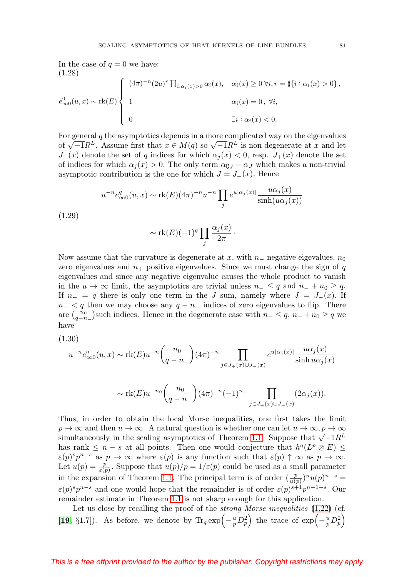In the case of  $q = 0$  we have: (1.28)

$$
e_{\infty 0}^{0}(u,x) \sim \text{rk}(E) \begin{cases} (4\pi)^{-n} (2u)^{r} \prod_{i,\alpha_{i}(x)>0} \alpha_{i}(x), & \alpha_{i}(x) \ge 0 \ \forall i, r = \sharp\{i : \alpha_{i}(x)>0\}, \\ 1 & \alpha_{i}(x) = 0, \ \forall i, \\ 0 & \exists i : \alpha_{i}(x) < 0. \end{cases}
$$

For general  $q$  the asymptotics depends in a more complicated way on the eigenvalues of  $\sqrt{-1}R^L$ . Assume first that  $x \in M(q)$  so  $\sqrt{-1}R^L$  is non-degenerate at x and let  $J_-(x)$  denote the set of q indices for which  $\alpha_i(x) < 0$ , resp.  $J_+(x)$  denote the set of indices for which  $\alpha_j(x) > 0$ . The only term  $\alpha_{\mathbf{G}J} - \alpha_J$  which makes a non-trivial asymptotic contribution is the one for which  $J = J_-(x)$ . Hence

$$
u^{-n}e_{\infty 0}^q(u,x) \sim \text{rk}(E)(4\pi)^{-n}u^{-n}\prod_j e^{u|\alpha_j(x)|}\frac{u\alpha_j(x)}{\sinh(u\alpha_j(x))}
$$
(1.29)

$$
\sim \operatorname{rk}(E)(-1)^q \prod_j \frac{\alpha_j(x)}{2\pi} \cdot
$$

Now assume that the curvature is degenerate at x, with  $n_-\,$  negative eigevalues,  $n_0$ zero eigenvalues and  $n_{+}$  positive eigenvalues. Since we must change the sign of q eigenvalues and since any negative eigenvalue causes the whole product to vanish in the  $u \to \infty$  limit, the asymptotics are trivial unless  $n_- \leq q$  and  $n_- + n_0 \geq q$ . If  $n_ - = q$  there is only one term in the J sum, namely where  $J = J_-(x)$ . If  $n<sub>-</sub>$  at then we may choose any  $q - n<sub>-</sub>$  indices of zero eigenvalues to flip. There are  $\binom{n_0}{q-n_-}$  such indices. Hence in the degenerate case with  $n_-\leq q$ ,  $n_-+n_0\geq q$  we have

(1.30)

$$
u^{-n}e_{\infty 0}^q(u,x) \sim \text{rk}(E)u^{-n}\binom{n_0}{q-n_-}(4\pi)^{-n} \prod_{j\in J_+(x)\cup J_-(x)} e^{u|\alpha_j(x)|} \frac{u\alpha_j(x)}{\sinh u\alpha_j(x)}
$$

$$
\sim \mathrm{rk}(E)u^{-n_0}\binom{n_0}{q-n_-}(4\pi)^{-n}(-1)^{n_-}\prod_{j\in J_+(x)\cup J_-(x)}(2\alpha_j(x)).
$$

Thus, in order to obtain the local Morse inequalities, one first takes the limit  $p \to \infty$  and then  $u \to \infty$ . A natural question is whether one can let  $u \to \infty$ ,  $p \to \infty$ simultaneously in the scaling asymptotics of Theorem [1.1.](#page-2-0) Suppose that  $\sqrt{-1}R^L$ has rank  $\leq n - s$  at all points. Then one would conjecture that  $h^{q}(L^{p} \otimes E) \leq$  $\varepsilon(p)^s p^{n-s}$  as  $p \to \infty$  where  $\varepsilon(p)$  is any function such that  $\varepsilon(p) \uparrow \infty$  as  $p \to \infty$ . Let  $u(p) = \frac{p}{\varepsilon(p)}$ . Suppose that  $u(p)/p = 1/\varepsilon(p)$  could be used as a small parameter in the expansion of Theorem [1.1.](#page-2-0) The principal term is of order  $(\frac{p}{u(p)})^n u(p)^{n-s} =$  $\varepsilon(p)^s p^{n-s}$  and one would hope that the remainder is of order  $\varepsilon(p)^{s+1} p^{n-1-s}$ . Our remainder estimate in Theorem [1.1](#page-2-0) is not sharp enough for this application.

Let us close by recalling the proof of the *strong Morse inequalities*  $(1.22)$  (cf. [[19](#page-27-0), §1.7]). As before, we denote by  $\text{Tr}_q \exp\left(-\frac{u}{p}D_p^2\right)$  the trace of  $\exp\left(-\frac{u}{p}D_p^2\right)$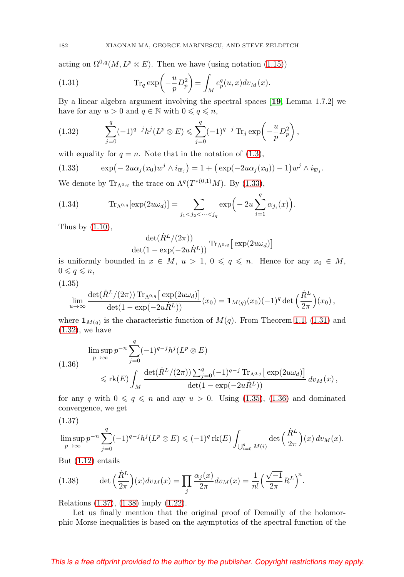acting on  $\Omega^{0,q}(M,L^p\otimes E)$ . Then we have (using notation [\(1.15\)](#page-3-1))

<span id="page-7-1"></span>(1.31) 
$$
\operatorname{Tr}_q \exp\left(-\frac{u}{p}D_p^2\right) = \int_M e_p^q(u,x)dv_M(x).
$$

By a linear algebra argument involving the spectral spaces [**[19](#page-27-0)**, Lemma 1.7.2] we have for any  $u > 0$  and  $q \in \mathbb{N}$  with  $0 \leqslant q \leqslant n$ ,

<span id="page-7-2"></span>(1.32) 
$$
\sum_{j=0}^{q} (-1)^{q-j} h^j (L^p \otimes E) \leq \sum_{j=0}^{q} (-1)^{q-j} \operatorname{Tr}_j \exp \left(-\frac{u}{p} D_p^2\right),
$$

with equality for  $q = n$ . Note that in the notation of [\(1.3\)](#page-1-1),

<span id="page-7-0"></span>(1.33) 
$$
\exp\left(-2u\alpha_j(x_0)\overline{w}^j\wedge i_{\overline{w}_j}\right)=1+\left(\exp(-2u\alpha_j(x_0))-1\right)\overline{w}^j\wedge i_{\overline{w}_j}.
$$

We denote by  $\text{Tr}_{\Lambda^{0,q}}$  the trace on  $\Lambda^{q}(T^{*(0,1)}M)$ . By [\(1.33\)](#page-7-0),

(1.34) 
$$
\text{Tr}_{\Lambda^{0,q}}[\exp(2u\omega_d)] = \sum_{j_1 < j_2 < \cdots < j_q} \exp\left(-2u\sum_{i=1}^q \alpha_{j_i}(x)\right).
$$

Thus by  $(1.10)$ ,

$$
\frac{\det(\dot{R}^{L}/(2\pi))}{\det(1-\exp(-2u\dot{R}^{L}))}\operatorname{Tr}_{\Lambda^{0,q}}\big[\exp(2u\omega_{d})\big]
$$

is uniformly bounded in  $x \in M$ ,  $u > 1$ ,  $0 \leqslant q \leqslant n$ . Hence for any  $x_0 \in M$ ,  $0 \leqslant q \leqslant n$ ,

<span id="page-7-3"></span>
$$
(1.35)
$$

$$
\lim_{u \to \infty} \frac{\det(\dot{R}^L/(2\pi)) \operatorname{Tr}_{\Lambda^{0,q}} \left[ \exp(2u\omega_d) \right]}{\det(1 - \exp(-2u\dot{R}^L))} (x_0) = \mathbf{1}_{M(q)}(x_0)(-1)^q \det \left( \frac{\dot{R}^L}{2\pi} \right) (x_0) ,
$$

where  $\mathbf{1}_{M(q)}$  is the characteristic function of  $M(q)$ . From Theorem [1.1,](#page-2-0) [\(1.31\)](#page-7-1) and  $(1.32)$ , we have

<span id="page-7-4"></span>
$$
\limsup_{p \to \infty} p^{-n} \sum_{j=0}^{q} (-1)^{q-j} h^j(L^p \otimes E)
$$
\n
$$
\leq \text{rk}(E) \int_M \frac{\det(\dot{R}^L/(2\pi)) \sum_{j=0}^q (-1)^{q-j} \text{Tr}_{\Lambda^{0,j}} [\exp(2u\omega_d)]}{\det(1 - \exp(-2u\dot{R}^L))} dv_M(x),
$$

for any q with  $0 \leqslant q \leqslant n$  and any  $u > 0$ . Using [\(1.35\)](#page-7-3), [\(1.36\)](#page-7-4) and dominated convergence, we get

<span id="page-7-5"></span>(1.37)

$$
\limsup_{p \to \infty} p^{-n} \sum_{j=0}^q (-1)^{q-j} h^j(L^p \otimes E) \leqslant (-1)^q \operatorname{rk}(E) \int_{\bigcup_{i=0}^q M(i)} \det \left( \frac{\dot{R}^L}{2\pi} \right) (x) \, dv_M(x).
$$

But [\(1.12\)](#page-2-3) entails

<span id="page-7-6"></span>(1.38) 
$$
\det\left(\frac{\dot{R}^L}{2\pi}\right)(x)dv_M(x) = \prod_j \frac{\alpha_j(x)}{2\pi}dv_M(x) = \frac{1}{n!} \left(\frac{\sqrt{-1}}{2\pi}R^L\right)^n.
$$

Relations [\(1.37\)](#page-7-5), [\(1.38\)](#page-7-6) imply [\(1.22\)](#page-5-0).

Let us finally mention that the original proof of Demailly of the holomorphic Morse inequalities is based on the asymptotics of the spectral function of the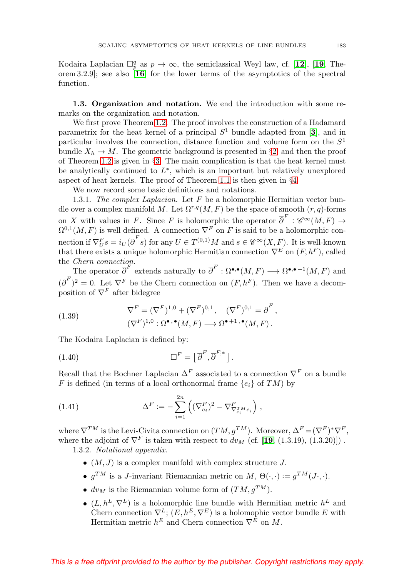Kodaira Laplacian  $\Box_p^q$  as  $p \to \infty$ , the semiclassical Weyl law, cf. [[12](#page-27-3)], [[19](#page-27-0), Theorem 3.2.9]; see also [**[16](#page-27-9)**] for the lower terms of the asymptotics of the spectral function.

**1.3. Organization and notation.** We end the introduction with some remarks on the organization and notation.

We first prove Theorem [1.2.](#page-4-0) The proof involves the construction of a Hadamard parametrix for the heat kernel of a principal  $S<sup>1</sup>$  bundle adapted from [[3](#page-26-3)], and in particular involves the connection, distance function and volume form on the  $S<sup>1</sup>$ bundle  $X_h \to M$ . The geometric background is presented in §[2,](#page-9-1) and then the proof of Theorem [1.2](#page-4-0) is given in §[3.](#page-12-1) The main complication is that the heat kernel must be analytically continued to  $L^*$ , which is an important but relatively unexplored aspect of heat kernels. The proof of Theorem [1.1](#page-2-0) is then given in  $\S4$ .

We now record some basic definitions and notations.

1.3.1. The complex Laplacian. Let  $F$  be a holomorphic Hermitian vector bundle over a complex manifold M. Let  $\Omega^{r,q}(M,F)$  be the space of smooth  $(r, q)$ -forms on X with values in F. Since F is holomorphic the operator  $\overline{\partial}^F : \mathscr{C}^{\infty}(M,F) \to$  $\Omega^{0,1}(M,F)$  is well defined. A connection  $\nabla^F$  on F is said to be a holomorphic connection if  $\nabla_U^F s = i_U(\overline{\partial}^F s)$  for any  $U \in T^{(0,1)}M$  and  $s \in \mathscr{C}^{\infty}(X,F)$ . It is well-known that there exists a unique holomorphic Hermitian connection  $\nabla^{E}$  on  $(F, h^F)$ , called the Chern connection.

The operator  $\overline{\partial}^F$  extends naturally to  $\overline{\partial}^F : \Omega^{\bullet,\bullet}(M,F) \longrightarrow \Omega^{\bullet,\bullet+1}(M,F)$  and  $(\overline{\partial}^F)^2 = 0$ . Let  $\nabla^F$  be the Chern connection on  $(F, h^F)$ . Then we have a decomposition of  $\nabla^F$  after bidegree

(1.39) 
$$
\nabla^{F} = (\nabla^{F})^{1,0} + (\nabla^{F})^{0,1}, \quad (\nabla^{F})^{0,1} = \overline{\partial}^{F}, (\nabla^{F})^{1,0} : \Omega^{\bullet,\bullet}(M,F) \longrightarrow \Omega^{\bullet+1,\bullet}(M,F).
$$

The Kodaira Laplacian is defined by:

(1.40) 
$$
\Box^F = \left[\,\overline{\partial}^F, \overline{\partial}^{F,*}\,\right].
$$

Recall that the Bochner Laplacian  $\Delta^F$  associated to a connection  $\nabla^F$  on a bundle F is defined (in terms of a local orthonormal frame  $\{e_i\}$  of TM) by

<span id="page-8-0"></span>(1.41) 
$$
\Delta^F := -\sum_{i=1}^{2n} \left( (\nabla_{e_i}^F)^2 - \nabla_{\nabla_{e_i}^T \omega}^F e_i \right),
$$

where  $\nabla^{TM}$  is the Levi-Civita connection on  $(TM, g^{TM})$ . Moreover,  $\Delta^F = (\nabla^F)^* \nabla^F$ , where the adjoint of  $\nabla^F$  is taken with respect to  $dv_M$  (cf. [[19](#page-27-0), (1.3.19), (1.3.20)]).

1.3.2. Notational appendix.

- $(M, J)$  is a complex manifold with complex structure J.
- $q^{TM}$  is a J-invariant Riemannian metric on  $M$ ,  $\Theta(\cdot, \cdot) := q^{TM}(J \cdot, \cdot)$ .
- $dv_M$  is the Riemannian volume form of  $(TM, q^{TM})$ .
- $(L, h^L, \nabla^L)$  is a holomorphic line bundle with Hermitian metric  $h^L$  and Chern connection  $\nabla^L$ ;  $(E, h^E, \nabla^E)$  is a holomophic vector bundle E with Hermitian metric  $h^E$  and Chern connection  $\nabla^E$  on M.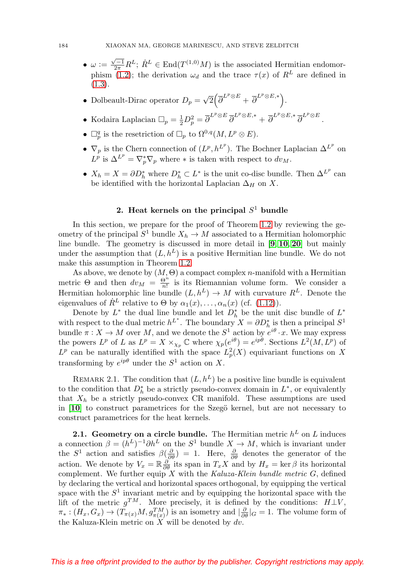- $\omega := \frac{\sqrt{-1}}{2\pi} R^L$ ;  $\dot{R}^L \in \text{End}(T^{(1,0)}M)$  is the associated Hermitian endomor-phism [\(1.2\)](#page-1-2); the derivation  $\omega_d$  and the trace  $\tau(x)$  of  $R^L$  are defined in [\(1.3\)](#page-1-1).
- Dolbeault-Dirac operator  $D_p = \sqrt{2} \left( \overline{\partial}^{L^p \otimes E} + \overline{\partial}^{L^p \otimes E,*} \right)$ .
- Kodaira Laplacian  $\Box_p = \frac{1}{2} D_p^2 = \overline{\partial}^{L^p \otimes E} \overline{\partial}^{L^p \otimes E,*} + \overline{\partial}^{L^p \otimes E,*} \overline{\partial}^{L^p \otimes E}.$
- $\Box_p^q$  is the resetriction of  $\Box_p$  to  $\Omega^{0,q}(M,L^p\otimes E)$ .
- $\nabla_p$  is the Chern connection of  $(L^p, h^{L^p})$ . The Bochner Laplacian  $\Delta^{L^p}$  on  $L^p$  is  $\Delta^{L^p} = \nabla_p^* \nabla_p$  where  $*$  is taken with respect to  $dv_M$ .
- $X_h = X = \partial D_h^*$  where  $D_h^* \subset L^*$  is the unit co-disc bundle. Then  $\Delta^{L^p}$  can be identified with the horizontal Laplacian  $\Delta_H$  on X.

# 2. Heat kernels on the principal  $S<sup>1</sup>$  bundle

<span id="page-9-1"></span>In this section, we prepare for the proof of Theorem [1.2](#page-4-0) by reviewing the geometry of the principal  $S^1$  bundle  $X_h \to M$  associated to a Hermitian holomorphic line bundle. The geometry is discussed in more detail in [**[9](#page-27-10)**, **[10](#page-27-11)**, **[20](#page-27-1)**] but mainly under the assumption that  $(L, h^L)$  is a positive Hermitian line bundle. We do not make this assumption in Theorem [1.2.](#page-4-0)

As above, we denote by  $(M, \Theta)$  a compact complex *n*-manifold with a Hermitian metric  $\Theta$  and then  $dv_M = \frac{\Theta^n}{n!}$  is its Riemannian volume form. We consider a Hermitian holomorphic line bundle  $(L, h^L) \rightarrow M$  with curvature  $R^L$ . Denote the eigenvalues of  $R^L$  relative to  $\Theta$  by  $\alpha_1(x), \ldots, \alpha_n(x)$  (cf. [\(1.12\)](#page-2-3)).

Denote by  $L^*$  the dual line bundle and let  $D_h^*$  be the unit disc bundle of  $L^*$ with respect to the dual metric  $h^{L^*}$ . The boundary  $X = \partial D_h^*$  is then a principal  $S^1$ bundle  $\pi : X \to M$  over M, and we denote the  $S^1$  action by  $e^{i\theta} \cdot x$ . We may express the powers  $L^p$  of L as  $L^p = X \times_{\chi_p} \mathbb{C}$  where  $\chi_p(e^{i\theta}) = e^{ip\theta}$ . Sections  $L^2(M, L^p)$  of  $L^p$  can be naturally identified with the space  $L_p^2(X)$  equivariant functions on X transforming by  $e^{ip\theta}$  under the  $S^1$  action on X.

REMARK 2.1. The condition that  $(L, h^L)$  be a positive line bundle is equivalent to the condition that  $D_h^*$  be a strictly pseudo-convex domain in  $L^*$ , or equivalently that  $X_h$  be a strictly pseudo-convex CR manifold. These assumptions are used in  $\mathbf{10}$  $\mathbf{10}$  $\mathbf{10}$  to construct parametrices for the Szegö kernel, but are not necessary to construct parametrices for the heat kernels.

<span id="page-9-0"></span>**2.1. Geometry on a circle bundle.** The Hermitian metric  $h^L$  on  $L$  induces a connection  $\beta = (h^L)^{-1} \partial h^L$  on the  $S^1$  bundle  $X \to M$ , which is invariant under the  $S^1$  action and satisfies  $\beta(\frac{\partial}{\partial \theta}) = 1$ . Here,  $\frac{\partial}{\partial \theta}$  denotes the generator of the action. We denote by  $V_x = \mathbb{R} \frac{\partial}{\partial \theta}$  its span in  $T_x X$  and by  $H_x = \ker \beta$  its horizontal complement. We further equip  $X$  with the Kaluza-Klein bundle metric  $G$ , defined by declaring the vertical and horizontal spaces orthogonal, by equipping the vertical space with the  $S<sup>1</sup>$  invariant metric and by equipping the horizontal space with the lift of the metric  $g^{TM}$ . More precisely, it is defined by the conditions:  $H \perp V$ ,  $\pi_*: (H_x, G_x) \to (T_{\pi(x)}M, g_{\pi(x)}^{TM})$  is an isometry and  $|\frac{\partial}{\partial \theta}|_G = 1$ . The volume form of the Kaluza-Klein metric on  $X$  will be denoted by  $dv$ .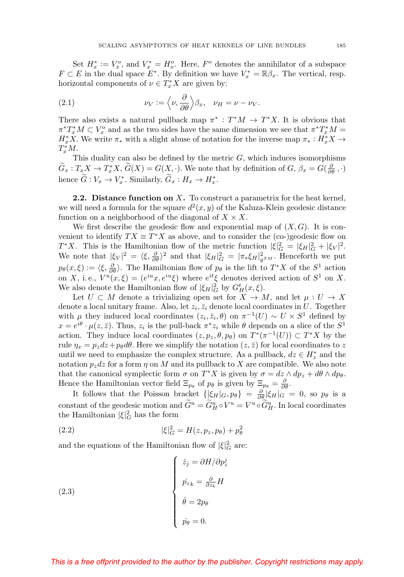Set  $H_x^* := V_x^o$ , and  $V_x^* = H_x^o$ . Here,  $F^o$  denotes the annihilator of a subspace  $F \subset E$  in the dual space  $E^*$ . By definition we have  $V_x^* = \mathbb{R}\beta_x$ . The vertical, resp. horizontal components of  $\nu \in T_x^*X$  are given by:

(2.1) 
$$
\nu_V := \left\langle \nu, \frac{\partial}{\partial \theta} \right\rangle \beta_x, \quad \nu_H = \nu - \nu_V.
$$

There also exists a natural pullback map  $\pi^*: T^*M \to T^*X$ . It is obvious that  $\pi^*T_x^*M\subset V_x^o$  and as the two sides have the same dimension we see that  $\pi^*T_x^*M=$  $H^*_xX$ . We write  $\pi_*$  with a slight abuse of notation for the inverse map  $\pi_*: H^*_xX \to$  $T_x^*M$ .

This duality can also be defined by the metric  $G$ , which induces isomorphisms  $\widetilde{G}_x: T_x X \to T_x^* X$ ,  $\widetilde{G}(X) = G(X, \cdot)$ . We note that by definition of  $G, \beta_x = G(\frac{\partial}{\partial \theta}, \cdot)$ hence  $G: V_x \to V_x^*$ . Similarly,  $G_x: H_x \to H_x^*$ .

**2.2. Distance function on** X**.** To construct a parametrix for the heat kernel, we will need a formula for the square  $d^2(x, y)$  of the Kaluza-Klein geodesic distance function on a neighborhood of the diagonal of  $X \times X$ .

We first describe the geodesic flow and exponential map of  $(X, G)$ . It is convenient to identify  $TX \equiv T^*X$  as above, and to consider the (co-)geodesic flow on  $T^*X$ . This is the Hamiltonian flow of the metric function  $|\xi|_G^2 = |\xi_H|_G^2 + |\xi_V|^2$ . We note that  $|\xi_V|^2 = \langle \xi, \frac{\partial}{\partial \theta} \rangle^2$  and that  $|\xi_H|^2 = |\pi_* \xi_H|^2_{g^{TM}}$ . Henceforth we put  $p_{\theta}(x,\xi) := \langle \xi, \frac{\partial}{\partial \theta} \rangle$ . The Hamiltonian flow of  $p_{\theta}$  is the lift to  $T^*X$  of the  $S^1$  action on X, i.e.,  $V^u(x,\xi)=(e^{iu}x,e^{iu}\xi)$  where  $e^{it}\xi$  denotes derived action of  $S^1$  on X. We also denote the Hamiltonian flow of  $|\xi_H|^2_G$  by  $G_H^t(x,\xi)$ .

Let  $U \subset M$  denote a trivializing open set for  $X \to M$ , and let  $\mu : U \to X$ denote a local unitary frame. Also, let  $z_i, \bar{z}_i$  denote local coordinates in U. Together with  $\mu$  they induced local coordinates  $(z_i, \bar{z}_i, \theta)$  on  $\pi^{-1}(U) \sim U \times S^1$  defined by  $x = e^{i\theta} \cdot \mu(z, \bar{z})$ . Thus,  $z_i$  is the pull-back  $\pi^* z_i$  while  $\theta$  depends on a slice of the  $S^1$ action. They induce local coordinates  $(z, p_z, \theta, p_\theta)$  on  $T^*(\pi^{-1}(U)) \subset T^*X$  by the rule  $\eta_x = p_z dz + p_\theta d\theta$ . Here we simplify the notation  $(z, \bar{z})$  for local coordinates to z until we need to emphasize the complex structure. As a pullback,  $dz \in H_z^*$  and the notation  $p_z dz$  for a form  $\eta$  on M and its pullback to X are compatible. We also note that the canonical symplectic form  $\sigma$  on  $T^*X$  is given by  $\sigma = dz \wedge dp_z + d\theta \wedge dp_\theta$ . Hence the Hamiltonian vector field  $\Xi_{p_\theta}$  of  $p_\theta$  is given by  $\Xi_{p_\theta} = \frac{\partial}{\partial \theta}$ .

It follows that the Poisson bracket  $\{|\xi_H|_G, p_\theta\} = \frac{\partial}{\partial \theta} |\xi_H|_G = 0$ , so  $p_\theta$  is a constant of the geodesic motion and  $\tilde{G}^u = \tilde{G}^u_H \circ V^u = V^u \circ \tilde{G}^u_H$ . In local coordinates the Hamiltonian  $|\xi|_G^2$  has the form

(2.2) 
$$
|\xi|_G^2 = H(z, p_z, p_\theta) + p_\theta^2
$$

and the equations of the Hamiltonian flow of  $|\xi|_G^2$  are:

(2.3)  

$$
\begin{cases}\n\dot{z}_j = \partial H / \partial p_z^j \\
\dot{p}_{z_k} = \frac{\partial}{\partial z_k} H \\
\dot{\theta} = 2p_\theta \\
\dot{p}_\theta = 0.\n\end{cases}
$$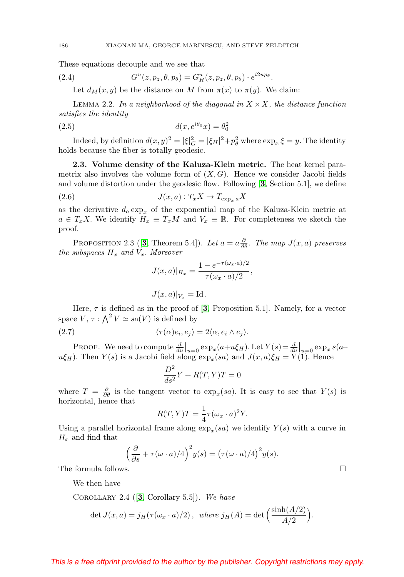These equations decouple and we see that

(2.4) 
$$
G^u(z, p_z, \theta, p_\theta) = G^u_H(z, p_z, \theta, p_\theta) \cdot e^{i2up_\theta}.
$$

Let  $d_M(x, y)$  be the distance on M from  $\pi(x)$  to  $\pi(y)$ . We claim:

LEMMA 2.2. In a neighborhood of the diagonal in  $X \times X$ , the distance function satisfies the identity

$$
d(x, e^{i\theta_0}x) = \theta_0^2
$$

Indeed, by definition  $d(x, y)^2 = |\xi|_G^2 = |\xi_H|^2 + p_\theta^2$  where  $\exp_x \xi = y$ . The identity holds because the fiber is totally geodesic.

**2.3. Volume density of the Kaluza-Klein metric.** The heat kernel parametrix also involves the volume form of  $(X, G)$ . Hence we consider Jacobi fields and volume distortion under the geodesic flow. Following [**[3](#page-26-3)**, Section 5.1], we define

(2.6) 
$$
J(x,a): T_x X \to T_{\exp_x a} X
$$

as the derivative  $d_a \exp_x$  of the exponential map of the Kaluza-Klein metric at  $a \in T_x X$ . We identify  $H_x \equiv T_x M$  and  $V_x \equiv \mathbb{R}$ . For completeness we sketch the proof.

<span id="page-11-0"></span>PROPOSITION 2.[3](#page-26-3) ([3, Theorem 5.4]). Let  $a = a \frac{\partial}{\partial \theta}$ . The map  $J(x, a)$  preserves the subspaces  $H_x$  and  $V_x$ . Moreover

$$
J(x,a)|_{H_x} = \frac{1 - e^{-\tau(\omega_x \cdot a)/2}}{\tau(\omega_x \cdot a)/2},
$$

$$
J(x,a)|_{V_x} = \mathrm{Id} \, .
$$

Here,  $\tau$  is defined as in the proof of [[3](#page-26-3), Proposition 5.1]. Namely, for a vector space  $V, \tau : \bigwedge^2 V \simeq so(V)$  is defined by

<span id="page-11-1"></span>(2.7) 
$$
\langle \tau(\alpha)e_i, e_j \rangle = 2\langle \alpha, e_i \wedge e_j \rangle.
$$

PROOF. We need to compute  $\frac{d}{du}\Big|_{u=0} \exp_x(a+u\xi_H)$ . Let  $Y(s) = \frac{d}{du}\Big|_{u=0} \exp_x s(a+u\xi_H)$  $u\xi_H$ ). Then  $Y(s)$  is a Jacobi field along  $\exp_x(sa)$  and  $J(x, a)\xi_H = Y(1)$ . Hence

$$
\frac{D^2}{ds^2}Y + R(T, Y)T = 0
$$

where  $T = \frac{\partial}{\partial \theta}$  is the tangent vector to  $\exp_x(sa)$ . It is easy to see that  $Y(s)$  is horizontal, hence that

$$
R(T, Y)T = \frac{1}{4}\tau(\omega_x \cdot a)^2 Y.
$$

Using a parallel horizontal frame along  $\exp_x(sa)$  we identify  $Y(s)$  with a curve in  $H_x$  and find that

$$
\left(\frac{\partial}{\partial s} + \tau(\omega \cdot a)/4\right)^2 y(s) = \left(\tau(\omega \cdot a)/4\right)^2 y(s).
$$

The formula follows.

We then have

Corollary 2.4 ([**[3](#page-26-3)**, Corollary 5.5]). We have

$$
\det J(x, a) = j_H(\tau(\omega_x \cdot a)/2), \text{ where } j_H(A) = \det \left( \frac{\sinh(A/2)}{A/2} \right).
$$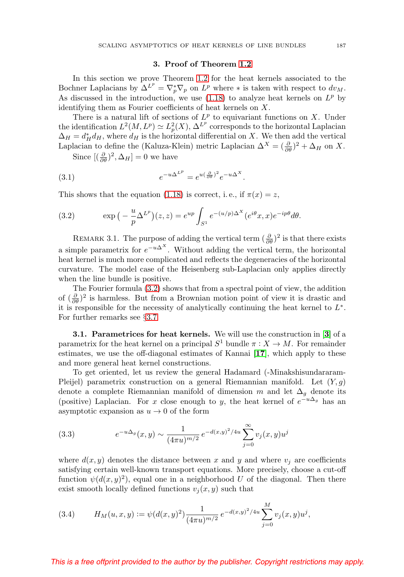### **3. Proof of Theorem [1.2](#page-4-0)**

<span id="page-12-1"></span>In this section we prove Theorem [1.2](#page-4-0) for the heat kernels associated to the Bochner Laplacians by  $\Delta^{L^p} = \nabla_p^* \nabla_p$  on  $L^p$  where  $*$  is taken with respect to  $dv_M$ . As discussed in the introduction, we use  $(1.18)$  to analyze heat kernels on  $L^p$  by identifying them as Fourier coefficients of heat kernels on X.

There is a natural lift of sections of  $L^p$  to equivariant functions on X. Under the identification  $L^2(M, L^p) \simeq L_p^2(X), \Delta^{L^p}$  corresponds to the horizontal Laplacian  $\Delta_H = d_H^* d_H$ , where  $d_H$  is the horizontal differential on X. We then add the vertical Laplacian to define the (Kaluza-Klein) metric Laplacian  $\Delta^X = (\frac{\partial}{\partial \theta})^2 + \Delta_H$  on X.

Since  $[(\frac{\partial}{\partial \theta})^2, \Delta_H] = 0$  we have

(3.1) 
$$
e^{-u\Delta^{L^p}} = e^{u(\frac{\partial}{\partial \theta})^2}e^{-u\Delta^X}.
$$

This shows that the equation [\(1.18\)](#page-4-1) is correct, i.e., if  $\pi(x) = z$ ,

<span id="page-12-2"></span>(3.2) 
$$
\exp\left(-\frac{u}{p}\Delta^{L^p}\right)(z,z) = e^{up}\int_{S^1} e^{-(u/p)\Delta^X}(e^{i\theta}x,x)e^{-ip\theta}d\theta.
$$

REMARK 3.1. The purpose of adding the vertical term  $(\frac{\partial}{\partial \theta})^2$  is that there exists a simple parametrix for  $e^{-u\Delta^X}$ . Without adding the vertical term, the horizontal heat kernel is much more complicated and reflects the degeneracies of the horizontal curvature. The model case of the Heisenberg sub-Laplacian only applies directly when the line bundle is positive.

The Fourier formula [\(3.2\)](#page-12-2) shows that from a spectral point of view, the addition of  $(\frac{\partial}{\partial \theta})^2$  is harmless. But from a Brownian motion point of view it is drastic and it is responsible for the necessity of analytically continuing the heat kernel to  $L^*$ . For further remarks see §[3.7.](#page-22-1)

<span id="page-12-0"></span>**3.1. Parametrices for heat kernels.** We will use the construction in [**[3](#page-26-3)**] of a parametrix for the heat kernel on a principal  $S^1$  bundle  $\pi : X \to M$ . For remainder estimates, we use the off-diagonal estimates of Kannai [**[17](#page-27-12)**], which apply to these and more general heat kernel constructions.

To get oriented, let us review the general Hadamard (-Minakshisundararam-Pleijel) parametrix construction on a general Riemannian manifold. Let  $(Y, g)$ denote a complete Riemannian manifold of dimension m and let  $\Delta_q$  denote its (positive) Laplacian. For x close enough to y, the heat kernel of  $e^{-u\Delta_g}$  has an asymptotic expansion as  $u \to 0$  of the form

(3.3) 
$$
e^{-u\Delta_g}(x,y) \sim \frac{1}{(4\pi u)^{m/2}} e^{-d(x,y)^2/4u} \sum_{j=0}^{\infty} v_j(x,y) u^j
$$

where  $d(x, y)$  denotes the distance between x and y and where  $v_i$  are coefficients satisfying certain well-known transport equations. More precisely, choose a cut-off function  $\psi(d(x, y)^2)$ , equal one in a neighborhood U of the diagonal. Then there exist smooth locally defined functions  $v_i(x, y)$  such that

(3.4) 
$$
H_M(u, x, y) := \psi(d(x, y)^2) \frac{1}{(4\pi u)^{m/2}} e^{-d(x, y)^2/4u} \sum_{j=0}^M v_j(x, y) u^j,
$$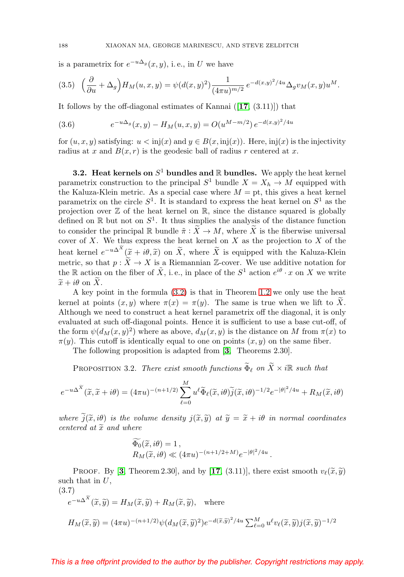is a parametrix for  $e^{-u\Delta_g}(x, y)$ , i.e., in U we have

$$
(3.5) \quad \left(\frac{\partial}{\partial u} + \Delta_g\right) H_M(u, x, y) = \psi(d(x, y)^2) \frac{1}{(4\pi u)^{m/2}} e^{-d(x, y)^2/4u} \Delta_g v_M(x, y) u^M.
$$

It follows by the off-diagonal estimates of Kannai ([**[17](#page-27-12)**, (3.11)]) that

<span id="page-13-0"></span>(3.6) 
$$
e^{-u\Delta_g}(x,y) - H_M(u,x,y) = O(u^{M-m/2}) e^{-d(x,y)^2/4u}
$$

for  $(u, x, y)$  satisfying:  $u < \text{inj}(x)$  and  $y \in B(x, \text{inj}(x))$ . Here,  $\text{inj}(x)$  is the injectivity radius at x and  $B(x, r)$  is the geodesic ball of radius r centered at x.

**3.2. Heat kernels on**  $S^1$  **bundles and**  $\mathbb R$  **bundles.** We apply the heat kernel parametrix construction to the principal  $S^1$  bundle  $X = X_h \rightarrow M$  equipped with the Kaluza-Klein metric. As a special case where  $M = pt$ , this gives a heat kernel parametrix on the circle  $S^1$ . It is standard to express the heat kernel on  $S^1$  as the projection over  $\mathbb Z$  of the heat kernel on  $\mathbb R$ , since the distance squared is globally defined on  $\mathbb R$  but not on  $S^1$ . It thus simplies the analysis of the distance function to consider the principal R bundle  $\tilde{\pi}: X \to M$ , where X is the fiberwise universal cover of X. We thus express the heat kernel on  $X$  as the projection to  $X$  of the heat kernel  $e^{-u\Delta^X}(\tilde{x}+i\theta,\tilde{x})$  on  $\tilde{X}$ , where  $\tilde{X}$  is equipped with the Kaluza-Klein metric, so that  $p : \widetilde{X} \to X$  is a Riemannian Z-cover. We use additive notation for the R action on the fiber of  $\tilde{X}$ , i.e., in place of the  $S^1$  action  $e^{i\theta} \cdot x$  on X we write  $\widetilde{x} + i\theta$  on X.

A key point in the formula [\(3.2\)](#page-12-2) is that in Theorem [1.2](#page-4-0) we only use the heat kernel at points  $(x, y)$  where  $\pi(x) = \pi(y)$ . The same is true when we lift to X. Although we need to construct a heat kernel parametrix off the diagonal, it is only evaluated at such off-diagonal points. Hence it is sufficient to use a base cut-off, of the form  $\psi(d_M(x, y)^2)$  where as above,  $d_M(x, y)$  is the distance on M from  $\pi(x)$  to  $\pi(y)$ . This cutoff is identically equal to one on points  $(x, y)$  on the same fiber.

The following proposition is adapted from [**[3](#page-26-3)**, Theorems 2.30].

PROPOSITION 3.2. There exist smooth functions  $\widetilde{\Phi}_{\ell}$  on  $\widetilde{X} \times i\mathbb{R}$  such that

$$
e^{-u\Delta^{\widetilde{X}}}(\widetilde{x},\widetilde{x}+i\theta)=(4\pi u)^{-(n+1/2)}\sum_{\ell=0}^M u^{\ell}\widetilde{\Phi}_{\ell}(\widetilde{x},i\theta)\widetilde{j}(\widetilde{x},i\theta)^{-1/2}e^{-|\theta|^2/4u}+R_M(\widetilde{x},i\theta)
$$

where  $\tilde{j}(\tilde{x}, i\theta)$  is the volume density  $j(\tilde{x}, \tilde{y})$  at  $\tilde{y} = \tilde{x} + i\theta$  in normal coordinates centered at  $\tilde{x}$  and where

$$
\Phi_0(\tilde{x}, i\theta) = 1,
$$
  
\n
$$
R_M(\tilde{x}, i\theta) \ll (4\pi u)^{-(n+1/2+M)} e^{-|\theta|^2/4u}.
$$

**PROOF.** By [[3](#page-26-3), Theorem 2.30], and by [[17](#page-27-12), (3.11)], there exist smooth  $v_{\ell}(\tilde{x}, \tilde{y})$ such that in  $U$ ,

<span id="page-13-1"></span>(3.7)  
\n
$$
e^{-u\Delta^{\widetilde{X}}}(\widetilde{x},\widetilde{y}) = H_M(\widetilde{x},\widetilde{y}) + R_M(\widetilde{x},\widetilde{y}), \text{ where}
$$
\n
$$
H_M(\widetilde{x},\widetilde{y}) = (4\pi u)^{-(n+1/2)} \psi(d_M(\widetilde{x},\widetilde{y})^2) e^{-d(\widetilde{x},\widetilde{y})^2/4u} \sum_{\ell=0}^M u^{\ell} v_{\ell}(\widetilde{x},\widetilde{y}) j(\widetilde{x},\widetilde{y})^{-1/2}
$$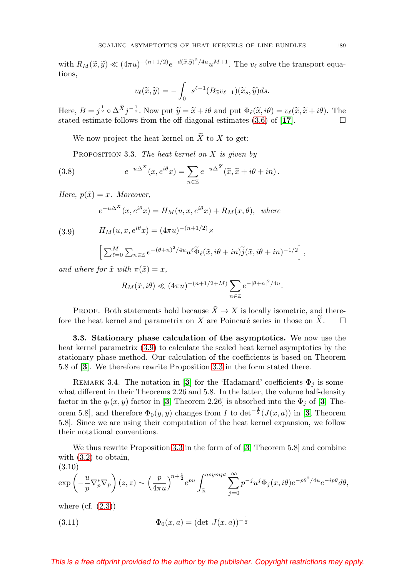with  $R_M(\tilde{x}, \tilde{y}) \ll (4\pi u)^{-(n+1/2)}e^{-d(\tilde{x}, \tilde{y})^2/4u}u^{M+1}$ . The  $v_\ell$  solve the transport equations,

$$
v_{\ell}(\widetilde{x}, \widetilde{y}) = -\int_0^1 s^{\ell-1}(B_{\widetilde{x}}v_{\ell-1})(\widetilde{x}_s, \widetilde{y})ds.
$$

Here,  $B = j^{\frac{1}{2}} \circ \Delta^{\widetilde{X}} j^{-\frac{1}{2}}$ . Now put  $\widetilde{y} = \widetilde{x} + i\theta$  and put  $\Phi_{\ell}(\widetilde{x}, i\theta) = v_{\ell}(\widetilde{x}, \widetilde{x} + i\theta)$ . The stated estimate follows from the off-diagonal estimates  $(3.6)$  of  $[17]$  $[17]$  $[17]$ .

We now project the heat kernel on  $\widetilde{X}$  to X to get:

<span id="page-14-1"></span>PROPOSITION 3.3. The heat kernel on  $X$  is given by

(3.8) 
$$
e^{-u\Delta^{X}}(x,e^{i\theta}x) = \sum_{n\in\mathbb{Z}} e^{-u\Delta^{\widetilde{X}}}(\widetilde{x},\widetilde{x}+i\theta+in).
$$

Here,  $p(\tilde{x}) = x$ . Moreover,

 $e^{-u\Delta^X}(x,e^{i\theta}x) = H_M(u,x,e^{i\theta}x) + R_M(x,\theta),$  where

<span id="page-14-0"></span>(3.9) 
$$
H_M(u, x, e^{i\theta} x) = (4\pi u)^{-(n+1/2)} \times
$$

$$
\[ \sum_{\ell=0}^M \sum_{n \in \mathbb{Z}} e^{-(\theta+n)^2/4u} u^{\ell} \widetilde{\Phi}_{\ell}(\tilde{x}, i\theta + in) \widetilde{j}(\tilde{x}, i\theta + in)^{-1/2} \],
$$

and where for  $\tilde{x}$  with  $\pi(\tilde{x}) = x$ ,

$$
R_M(\tilde{x}, i\theta) \ll (4\pi u)^{-(n+1/2+M)} \sum_{n \in \mathbb{Z}} e^{-|\theta + n|^2/4u}.
$$

PROOF. Both statements hold because  $\tilde{X} \to X$  is locally isometric, and therefore the heat kernel and parametrix on X are Poincaré series in those on X.  $\Box$ 

**3.3. Stationary phase calculation of the asymptotics.** We now use the heat kernel parametrix [\(3.9\)](#page-14-0) to calculate the scaled heat kernel asymptotics by the stationary phase method. Our calculation of the coefficients is based on Theorem 5.8 of [**[3](#page-26-3)**]. We therefore rewrite Proposition [3.3](#page-14-1) in the form stated there.

REMARK [3](#page-26-3).4. The notation in [3] for the 'Hadamard' coefficients  $\Phi_i$  is somewhat different in their Theorems 2.26 and 5.8. In the latter, the volume half-density factor in the  $q_t(x, y)$  factor in [[3](#page-26-3), Theorem 2.26] is absorbed into the  $\Phi_i$  of [3, Theorem 5.8], and therefore  $\Phi_0(y, y)$  changes from I to  $\det^{-\frac{1}{2}}(J(x, a))$  in [[3](#page-26-3), Theorem 5.8]. Since we are using their computation of the heat kernel expansion, we follow their notational conventions.

We thus rewrite Proposition [3.3](#page-14-1) in the form of of [**[3](#page-26-3)**, Theorem 5.8] and combine with [\(3.2\)](#page-12-2) to obtain,  $(3.10)$ 

<span id="page-14-2"></span>
$$
\exp\left(-\frac{u}{p}\nabla_p^*\nabla_p\right)(z,z) \sim \left(\frac{p}{4\pi u}\right)^{n+\frac{1}{2}} e^{pu} \int_{\mathbb{R}}^{asympt} \sum_{j=0}^{\infty} p^{-j} u^j \Phi_j(x,i\theta) e^{-p\theta^2/4u} e^{-ip\theta} d\theta,
$$
  
where (cf. (2.3))

<span id="page-14-3"></span>(3.11) 
$$
\Phi_0(x, a) = (\det J(x, a))^{-\frac{1}{2}}
$$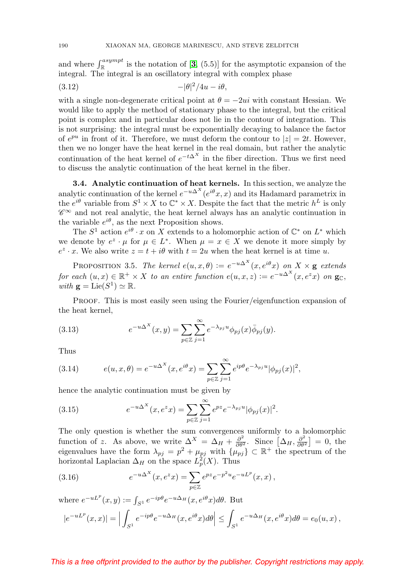and where  $\int_{\mathbb{R}}^{asympt}$  is the notation of  $[3, (5.5)]$  $[3, (5.5)]$  $[3, (5.5)]$  for the asymptotic expansion of the integral. The integral is an oscillatory integral with complex phase

<span id="page-15-0"></span>
$$
(3.12) \t\t -|\theta|^2/4u - i\theta,
$$

with a single non-degenerate critical point at  $\theta = -2ui$  with constant Hessian. We would like to apply the method of stationary phase to the integral, but the critical point is complex and in particular does not lie in the contour of integration. This is not surprising: the integral must be exponentially decaying to balance the factor of  $e^{pu}$  in front of it. Therefore, we must deform the contour to  $|z| = 2t$ . However, then we no longer have the heat kernel in the real domain, but rather the analytic continuation of the heat kernel of  $e^{-t\Delta^X}$  in the fiber direction. Thus we first need to discuss the analytic continuation of the heat kernel in the fiber.

**3.4. Analytic continuation of heat kernels.** In this section, we analyze the analytic continuation of the kernel  $e^{-u\Delta^X}(e^{i\theta}x, x)$  and its Hadamard parametrix in the  $e^{i\theta}$  variable from  $S^1 \times X$  to  $\mathbb{C}^* \times X$ . Despite the fact that the metric  $h^L$  is only  $\mathscr{C}^{\infty}$  and not real analytic, the heat kernel always has an analytic continuation in the variable  $e^{i\theta}$ , as the next Proposition shows.

The  $S^1$  action  $e^{i\theta} \cdot x$  on X extends to a holomorphic action of  $\mathbb{C}^*$  on  $L^*$  which we denote by  $e^z \cdot \mu$  for  $\mu \in L^*$ . When  $\mu = x \in X$  we denote it more simply by  $e^z \cdot x$ . We also write  $z = t + i\theta$  with  $t = 2u$  when the heat kernel is at time u.

PROPOSITION 3.5. The kernel  $e(u, x, \theta) := e^{-u\Delta^{X}}(x, e^{i\theta}x)$  on  $X \times \mathbf{g}$  extends for each  $(u, x) \in \mathbb{R}^+ \times X$  to an entire function  $e(u, x, z) := e^{-u\Delta^X}(x, e^z x)$  on  $\mathbf{g}_{\mathbb{C}},$ with  $\mathbf{g} = \text{Lie}(S^1) \simeq \mathbb{R}$ .

PROOF. This is most easily seen using the Fourier/eigenfunction expansion of the heat kernel,

(3.13) 
$$
e^{-u\Delta^{X}}(x,y) = \sum_{p \in \mathbb{Z}} \sum_{j=1}^{\infty} e^{-\lambda_{pj}u} \phi_{pj}(x) \overline{\phi}_{pj}(y).
$$

Thus

(3.14) 
$$
e(u, x, \theta) = e^{-u\Delta^{X}}(x, e^{i\theta}x) = \sum_{p \in \mathbb{Z}} \sum_{j=1}^{\infty} e^{ip\theta} e^{-\lambda_{pj}u} |\phi_{pj}(x)|^{2},
$$

hence the analytic continuation must be given by

(3.15) 
$$
e^{-u\Delta^{X}}(x, e^{z}x) = \sum_{p \in \mathbb{Z}} \sum_{j=1}^{\infty} e^{pz} e^{-\lambda_{pj}u} |\phi_{pj}(x)|^{2}.
$$

The only question is whether the sum convergences uniformly to a holomorphic function of z. As above, we write  $\Delta^X = \Delta_H + \frac{\partial^2}{\partial \theta^2}$ . Since  $[\Delta_H, \frac{\partial^2}{\partial \theta^2}] = 0$ , the eigenvalues have the form  $\lambda_{pj} = p^2 + \mu_{pj}$  with  $\{\mu_{pj}\}\subset \mathbb{R}^+$  the spectrum of the horizontal Laplacian  $\Delta_H$  on the space  $L_p^2(X)$ . Thus

(3.16) 
$$
e^{-u\Delta^{X}}(x, e^{z}x) = \sum_{p \in \mathbb{Z}} e^{pz} e^{-p^{2}u} e^{-uL^{p}}(x, x),
$$

where  $e^{-uL^p}(x, y) := \int_{S^1} e^{-ip\theta} e^{-u\Delta_H}(x, e^{i\theta}x) d\theta$ . But

$$
|e^{-uL^p}(x,x)| = \Big| \int_{S^1} e^{-ip\theta} e^{-u\Delta_H}(x,e^{i\theta}x) d\theta \Big| \leq \int_{S^1} e^{-u\Delta_H}(x,e^{i\theta}x) d\theta = e_0(u,x) ,
$$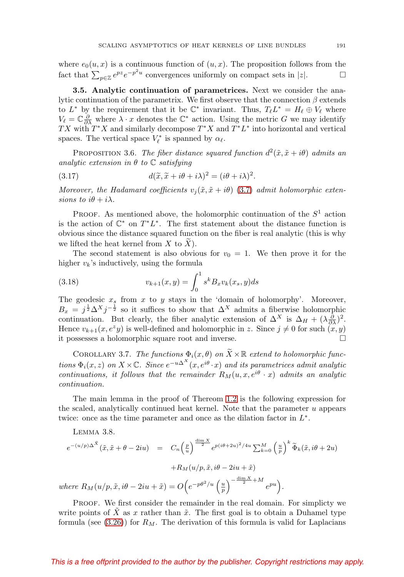where  $e_0(u, x)$  is a continuous function of  $(u, x)$ . The proposition follows from the fact that  $\sum_{p\in\mathbb{Z}}e^{pz}e^{-p^2u}$  convergences uniformly on compact sets in |z|.  $\Box$  $\Box$ 

**3.5. Analytic continuation of parametrices.** Next we consider the analytic continuation of the parametrix. We first observe that the connection  $\beta$  extends to  $L^*$  by the requirement that it be  $\mathbb{C}^*$  invariant. Thus,  $T_{\ell}L^* = H_{\ell} \oplus V_{\ell}$  where  $V_{\ell} = \mathbb{C} \frac{\partial}{\partial \lambda}$  where  $\lambda \cdot x$  denotes the  $\mathbb{C}^*$  action. Using the metric G we may identify TX with  $T^*X$  and similarly decompose  $T^*X$  and  $T^*L^*$  into horizontal and vertical spaces. The vertical space  $V_{\ell}^*$  is spanned by  $\alpha_{\ell}$ .

PROPOSITION 3.6. The fiber distance squared function  $d^2(\tilde{x}, \tilde{x} + i\theta)$  admits an analytic extension in  $\theta$  to  $\mathbb C$  satisfying

(3.17) 
$$
d(\widetilde{x}, \widetilde{x} + i\theta + i\lambda)^2 = (i\theta + i\lambda)^2.
$$

Moreover, the Hadamard coefficients  $v_i(\tilde{x}, \tilde{x} + i\theta)$  [\(3.7\)](#page-13-1) admit holomorphic extensions to  $i\theta + i\lambda$ .

PROOF. As mentioned above, the holomorphic continuation of the  $S<sup>1</sup>$  action is the action of  $\mathbb{C}^*$  on  $T^*L^*$ . The first statement about the distance function is obvious since the distance squared function on the fiber is real analytic (this is why we lifted the heat kernel from  $X$  to  $X$ ).

The second statement is also obvious for  $v_0 = 1$ . We then prove it for the higher  $v_k$ 's inductively, using the formula

(3.18) 
$$
v_{k+1}(x,y) = \int_0^1 s^k B_x v_k(x_s, y) ds
$$

The geodesic  $x_s$  from  $x$  to  $y$  stays in the 'domain of holomorphy'. Moreover,  $B_x = j^{\frac{1}{2}} \Delta^X j^{-\frac{1}{2}}$  so it suffices to show that  $\Delta^X$  admits a fiberwise holomorphic continuation. But clearly, the fiber analytic extension of  $\Delta^X$  is  $\Delta_H + (\lambda \frac{\partial}{\partial \lambda})^2$ . Hence  $v_{k+1}(x, e^z y)$  is well-defined and holomorphic in z. Since  $j \neq 0$  for such  $(x, y)$ it possesses a holomorphic square root and inverse.  $\Box$ 

COROLLARY 3.7. The functions  $\Phi_i(x, \theta)$  on  $\widetilde{X} \times \mathbb{R}$  extend to holomorphic functions  $\Phi_i(x, z)$  on  $X \times \mathbb{C}$ . Since  $e^{-u\Delta^X}(x, e^{i\theta} \cdot x)$  and its parametrices admit analytic continuations, it follows that the remainder  $R_M(u, x, e^{i\theta} \cdot x)$  admits an analytic continuation.

The main lemma in the proof of Thereom [1.2](#page-4-0) is the following expression for the scaled, analytically continued heat kernel. Note that the parameter  $u$  appears twice: once as the time parameter and once as the dilation factor in  $L^*$ .

<span id="page-16-0"></span>LEMMA 3.8.  
\n
$$
e^{-(u/p)\Delta^{\tilde{X}}}(\tilde{x}, \tilde{x} + \theta - 2iu) = C_n \left(\frac{p}{u}\right)^{\frac{\dim X}{2}} e^{p(i\theta + 2u)^2/4u} \sum_{k=0}^M \left(\frac{u}{p}\right)^k \tilde{\Phi}_k(\tilde{x}, i\theta + 2u) + R_M(u/p, \tilde{x}, i\theta - 2iu + \tilde{x})
$$
\nwhere  $R_M(u/p, \tilde{x}, i\theta - 2iu + \tilde{x}) = O\left(e^{-p\theta^2/u} \left(\frac{u}{p}\right)^{-\frac{\dim X}{2} + M} e^{pu}\right).$ 

PROOF. We first consider the remainder in the real domain. For simplicty we write points of  $\tilde{X}$  as x rather than  $\tilde{x}$ . The first goal is to obtain a Duhamel type formula (see  $(3.26)$ ) for  $R_M$ . The derivation of this formula is valid for Laplacians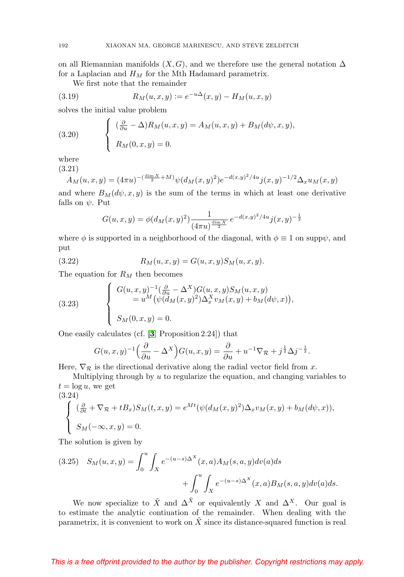on all Riemannian manifolds  $(X, G)$ , and we therefore use the general notation  $\Delta$ for a Laplacian and  $H_M$  for the Mth Hadamard parametrix.

We first note that the remainder

(3.19) 
$$
R_M(u, x, y) := e^{-u\Delta}(x, y) - H_M(u, x, y)
$$

solves the initial value problem

(3.20) 
$$
\begin{cases} \left(\frac{\partial}{\partial u} - \Delta\right) R_M(u, x, y) = A_M(u, x, y) + B_M(d\psi, x, y), \\ R_M(0, x, y) = 0. \end{cases}
$$

where

(3.21)

$$
A_M(u, x, y) = (4\pi u)^{-(\frac{\dim X}{2} + M)} \psi(d_M(x, y)^2) e^{-d(x, y)^2 / 4u} j(x, y)^{-1/2} \Delta_x u_M(x, y)
$$

and where  $B_M(dy, x, y)$  is the sum of the terms in which at least one derivative falls on  $\psi$ . Put

$$
G(u, x, y) = \phi(d_M(x, y)^2) \frac{1}{(4\pi u)^{\frac{\dim X}{2}}} e^{-d(x, y)^2/4u} j(x, y)^{-\frac{1}{2}}
$$

where  $\phi$  is supported in a neighborhood of the diagonal, with  $\phi \equiv 1$  on supp $\psi$ , and put

(3.22) 
$$
R_M(u, x, y) = G(u, x, y) S_M(u, x, y).
$$

The equation for  $R_M$  then becomes

(3.23) 
$$
\begin{cases} G(u,x,y)^{-1}(\frac{\partial}{\partial u} - \Delta^X)G(u,x,y)S_M(u,x,y) \\ = u^M(\psi(d_M(x,y)^2)\Delta_x^X v_M(x,y) + b_M(d\psi,x)), \\ S_M(0,x,y) = 0. \end{cases}
$$

One easily calculates (cf. [**[3](#page-26-3)**, Proposition 2.24]) that

$$
G(u,x,y)^{-1}\left(\frac{\partial}{\partial u}-\Delta^X\right)G(u,x,y)=\frac{\partial}{\partial u}+u^{-1}\nabla_{\mathcal{R}}+j^{\frac{1}{2}}\Delta j^{-\frac{1}{2}}.
$$

Here,  $\nabla$ <sub>R</sub> is the directional derivative along the radial vector field from x.

Multiplying through by  $u$  to regularize the equation, and changing variables to  $t = \log u$ , we get

(3.24)  
\n
$$
\begin{cases}\n(\frac{\partial}{\partial t} + \nabla_{\mathcal{R}} + tB_x)S_M(t, x, y) = e^{Mt}(\psi(d_M(x, y)^2)\Delta_x v_M(x, y) + b_M(d\psi, x)), \\
S_M(-\infty, x, y) = 0.\n\end{cases}
$$

The solution is given by

(3.25) 
$$
S_M(u, x, y) = \int_0^u \int_X e^{-(u-s)\Delta^X}(x, a) A_M(s, a, y) dv(a) ds + \int_0^u \int_X e^{-(u-s)\Delta^X}(x, a) B_M(s, a, y) dv(a) ds.
$$

We now specialize to  $\tilde{X}$  and  $\Delta^{\tilde{X}}$  or equivalently X and  $\Delta^X$ . Our goal is to estimate the analytic contiuation of the remainder. When dealing with the parametrix, it is convenient to work on  $\tilde{X}$  since its distance-squared function is real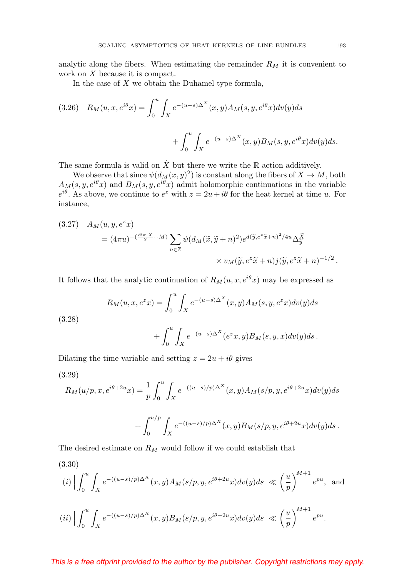analytic along the fibers. When estimating the remainder  $R_M$  it is convenient to work on X because it is compact.

In the case of  $X$  we obtain the Duhamel type formula,

<span id="page-18-0"></span>(3.26) 
$$
R_M(u, x, e^{i\theta}x) = \int_0^u \int_X e^{-(u-s)\Delta^X}(x, y) A_M(s, y, e^{i\theta}x) dv(y) ds
$$

$$
+ \int_0^u \int_X e^{-(u-s)\Delta^X}(x, y) B_M(s, y, e^{i\theta}x) dv(y) ds.
$$

The same formula is valid on  $\tilde{X}$  but there we write the R action additively.

We observe that since  $\psi(d_M(x,y)^2)$  is constant along the fibers of  $X \to M$ , both  $A_M(s, y, e^{i\theta}x)$  and  $B_M(s, y, e^{i\theta}x)$  admit holomorphic continuations in the variable  $e^{i\theta}$ . As above, we continue to  $e^z$  with  $z = 2u + i\theta$  for the heat kernel at time u. For instance,

(3.27) 
$$
A_M(u, y, e^z x) = (4\pi u)^{-(\frac{\dim X}{2} + M)} \sum_{n \in \mathbb{Z}} \psi(d_M(\tilde{x}, \tilde{y} + n)^2) e^{d(\tilde{y}, e^z \tilde{x} + n)^2 / 4u} \Delta_{\tilde{y}}^{\tilde{X}} \times v_M(\tilde{y}, e^z \tilde{x} + n) j(\tilde{y}, e^z \tilde{x} + n)^{-1/2}.
$$

It follows that the analytic continuation of  $R_M(u,x,e^{i\theta}x)$  may be expressed as

(3.28)  
\n
$$
R_M(u, x, e^z x) = \int_0^u \int_X e^{-(u-s)\Delta^X}(x, y) A_M(s, y, e^z x) dv(y) ds
$$
\n
$$
+ \int_0^u \int_X e^{-(u-s)\Delta^X}(e^z x, y) B_M(s, y, x) dv(y) ds.
$$

Dilating the time variable and setting  $z = 2u + i\theta$  gives

<span id="page-18-2"></span>
$$
(3.29)
$$

$$
R_M(u/p, x, e^{i\theta + 2u}x) = \frac{1}{p} \int_0^u \int_X e^{-((u-s)/p)\Delta^X}(x, y) A_M(s/p, y, e^{i\theta + 2u}x) dv(y) ds
$$
  
+ 
$$
\int_0^{u/p} \int_X e^{-((u-s)/p)\Delta^X}(x, y) B_M(s/p, y, e^{i\theta + 2u}x) dv(y) ds.
$$

The desired estimate on  $R_M$  would follow if we could establish that

<span id="page-18-1"></span>(3.30)  
\n(i) 
$$
\left| \int_0^u \int_X e^{-((u-s)/p)\Delta^X}(x, y) A_M(s/p, y, e^{i\theta + 2u}x) dv(y) ds \right| \ll \left(\frac{u}{p}\right)^{M+1} e^{pu}
$$
, and  
\n(ii)  $\left| \int_0^u \int_X e^{-((u-s)/p)\Delta^X}(x, y) B_M(s/p, y, e^{i\theta + 2u}x) dv(y) ds \right| \ll \left(\frac{u}{p}\right)^{M+1} e^{pu}$ .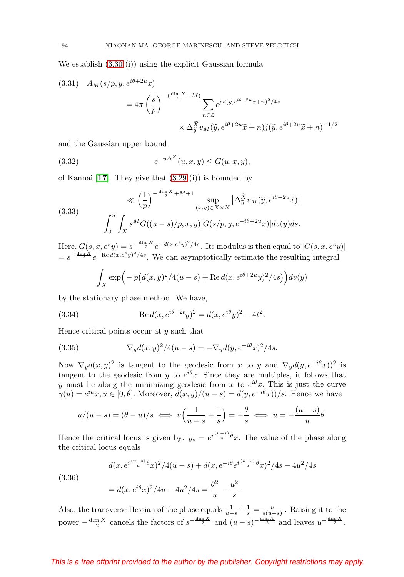We establish [\(3.30](#page-18-1) (i)) using the explicit Gaussian formula

(3.31) 
$$
A_M(s/p, y, e^{i\theta + 2u}x)
$$

$$
= 4\pi \left(\frac{s}{p}\right)^{-(\frac{\dim X}{2} + M)} \sum_{n \in \mathbb{Z}} e^{pd(y, e^{i\theta + 2u}x + n)^2/4s}
$$

$$
\times \Delta_{\tilde{y}}^{\tilde{X}} v_M(\tilde{y}, e^{i\theta + 2u}\tilde{x} + n) j(\tilde{y}, e^{i\theta + 2u}\tilde{x} + n)^{-1/2}
$$

and the Gaussian upper bound

(3.32) 
$$
e^{-u\Delta^{X}}(u,x,y) \le G(u,x,y),
$$

of Kannai [**[17](#page-27-12)**]. They give that [\(3.29](#page-18-2) (i)) is bounded by

(3.33) 
$$
\ll \left(\frac{1}{p}\right)^{-\frac{\dim X}{2} + M + 1} \sup_{(x,y) \in X \times X} |\Delta_{\tilde{y}}^{\tilde{X}} v_M(\tilde{y}, e^{i\theta + 2u}\tilde{x})|
$$

$$
\int_0^u \int_X s^M G((u-s)/p, x, y) |G(s/p, y, e^{-i\theta + 2u}x)| dv(y) ds.
$$

Here,  $G(s, x, e^{\bar{z}}y) = s^{-\frac{\dim X}{2}} e^{-d(x, e^{\bar{z}}y)^2/4s}$ . Its modulus is then equal to  $|G(s, x, e^{\bar{z}}y)|$  $= s^{-\frac{\dim X}{2}} e^{-\text{Re } d(x,e^{\bar{z}}y)^2/4s}$ . We can asymptotically estimate the resulting integral

$$
\int_X \exp\Bigl(-p\bigl(d(x,y)^2/4(u-s)+\text{Re}\,d(x,e^{\overline{i\theta+2u}}y)^2/4s\bigr)\Bigr)dv(y)
$$

by the stationary phase method. We have,

(3.34) Re 
$$
d(x, e^{i\theta + 2t}y)^2 = d(x, e^{i\theta}y)^2 - 4t^2
$$
.

Hence critical points occur at  $y$  such that

(3.35) 
$$
\nabla_y d(x, y)^2 / 4(u - s) = -\nabla_y d(y, e^{-i\theta} x)^2 / 4s.
$$

Now  $\nabla_y d(x, y)^2$  is tangent to the geodesic from x to y and  $\nabla_y d(y, e^{-i\theta}x))^2$  is tangent to the geodesic from y to  $e^{i\theta}$ x. Since they are multiples, it follows that y must lie along the minimizing geodesic from x to  $e^{i\theta}$ x. This is just the curve  $\gamma(u) = e^{iu}x, u \in [0, \theta]$ . Moreover,  $d(x, y)/(u - s) = d(y, e^{-i\theta}x)/s$ . Hence we have

$$
u/(u-s) = (\theta - u)/s \iff u\left(\frac{1}{u-s} + \frac{1}{s}\right) = -\frac{\theta}{s} \iff u = -\frac{(u-s)}{u}\theta.
$$

Hence the critical locus is given by:  $y_s = e^{i\frac{(u-s)}{u}\theta}x$ . The value of the phase along the critical locus equals

$$
d(x, e^{i\frac{(u-s)}{u}\theta}x)^2/4(u-s) + d(x, e^{-i\theta}e^{i\frac{(u-s)}{u}\theta}x)^2/4s - 4u^2/4s
$$

(3.36)

$$
= d(x, e^{i\theta}x)^2/4u - 4u^2/4s = \frac{\theta^2}{u} - \frac{u^2}{s}.
$$

Also, the transverse Hessian of the phase equals  $\frac{1}{u-s} + \frac{1}{s} = \frac{u}{s(u-s)}$ . Raising it to the power  $-\frac{\dim X}{2}$  cancels the factors of  $s^{-\frac{\dim X}{2}}$  and  $(u-s)^{-\frac{\dim X}{2}}$  and leaves  $u^{-\frac{\dim X}{2}}$ .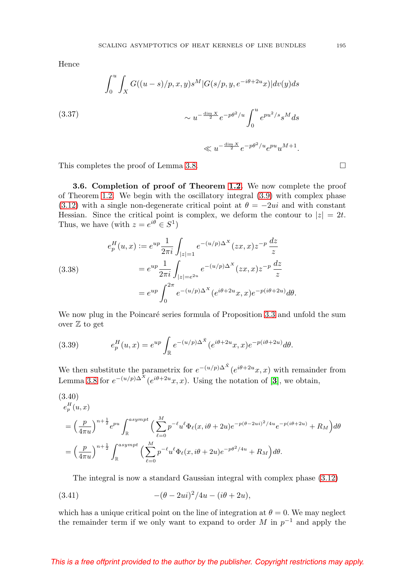Hence

(3.37)  

$$
\int_0^u \int_X G((u-s)/p, x, y) s^M |G(s/p, y, e^{-i\theta + 2u}x)| dv(y) ds
$$

$$
\sim u^{-\frac{\dim X}{2}} e^{-p\theta^2/u} \int_0^u e^{pu^2/s} s^M ds
$$

$$
\ll u^{-\frac{\dim X}{2}} e^{-p\theta^2/u} e^{pu} u^{M+1}.
$$

This completes the proof of Lemma [3.8.](#page-16-0)  $\Box$ 

**3.6. Completion of proof of Theorem [1.2.](#page-4-0)** We now complete the proof of Theorem [1.2.](#page-4-0) We begin with the oscillatory integral [\(3.9\)](#page-14-0) with complex phase [\(3.12\)](#page-15-0) with a single non-degenerate critical point at  $\theta = -2ui$  and with constant Hessian. Since the critical point is complex, we deform the contour to  $|z| = 2t$ . Thus, we have (with  $z = e^{i\theta} \in S^1$ )

(3.38)  

$$
e_p^H(u, x) := e^{up} \frac{1}{2\pi i} \int_{|z|=1} e^{-(u/p)\Delta^X} (zx, x) z^{-p} \frac{dz}{z}
$$

$$
= e^{up} \frac{1}{2\pi i} \int_{|z|=e^{2u}} e^{-(u/p)\Delta^X} (zx, x) z^{-p} \frac{dz}{z}
$$

$$
= e^{up} \int_0^{2\pi} e^{-(u/p)\Delta^X} (e^{i\theta + 2u} x, x) e^{-p(i\theta + 2u)} d\theta.
$$

We now plug in the Poincaré series formula of Proposition [3.3](#page-14-1) and unfold the sum over  $\mathbb Z$  to get

(3.39) 
$$
e_p^H(u,x) = e^{up} \int_{\mathbb{R}} e^{-(u/p)\Delta^{\tilde{X}}} (e^{i\theta + 2u}x, x) e^{-p(i\theta + 2u)} d\theta.
$$

We then substitute the parametrix for  $e^{-(u/p)\Delta^{\tilde{X}}}(e^{i\theta+2u}x, x)$  with remainder from Lemma [3.8](#page-16-0) for  $e^{-(u/p)\Delta^{X}}(e^{i\theta+2u}x, x)$ . Using the notation of [[3](#page-26-3)], we obtain,

$$
(3.40)
$$
  
\n
$$
e_p^H(u, x)
$$
  
\n
$$
= \left(\frac{p}{4\pi u}\right)^{n + \frac{1}{2}} e^{pu} \int_{\mathbb{R}}^{asympt} \left(\sum_{\ell=0}^M p^{-\ell} u^{\ell} \Phi_{\ell}(x, i\theta + 2u) e^{-p(\theta - 2ui)^2 / 4u} e^{-p(i\theta + 2u)} + R_M\right) d\theta
$$
  
\n
$$
= \left(\frac{p}{4\pi u}\right)^{n + \frac{1}{2}} \int_{\mathbb{R}}^{asympt} \left(\sum_{\ell=0}^M p^{-\ell} u^{\ell} \Phi_{\ell}(x, i\theta + 2u) e^{-p\theta^2 / 4u} + R_M\right) d\theta.
$$

The integral is now a standard Gaussian integral with complex phase [\(3.12\)](#page-15-0)

(3.41) 
$$
-(\theta - 2ui)^2/4u - (i\theta + 2u),
$$

which has a unique critical point on the line of integration at  $\theta = 0$ . We may neglect the remainder term if we only want to expand to order M in  $p^{-1}$  and apply the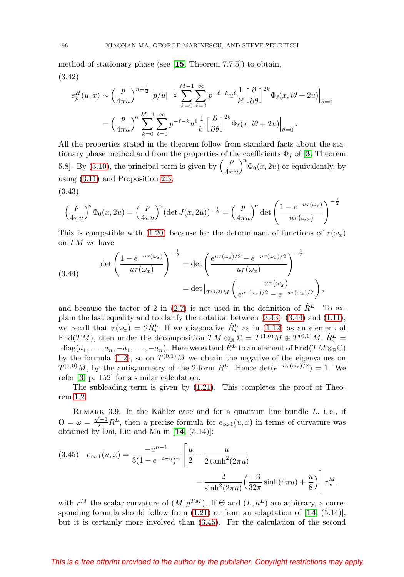method of stationary phase (see [**[15](#page-27-13)**, Theorem 7.7.5]) to obtain, (3.42)

$$
e_p^H(u,x) \sim \left(\frac{p}{4\pi u}\right)^{n+\frac{1}{2}} |p/u|^{-\frac{1}{2}} \sum_{k=0}^{M-1} \sum_{\ell=0}^{\infty} p^{-\ell-k} u^{\ell} \frac{1}{k!} \left[\frac{\partial}{\partial \theta}\right]^{2k} \Phi_{\ell}(x, i\theta + 2u) \Big|_{\theta=0}
$$

$$
= \left(\frac{p}{4\pi u}\right)^n \sum_{k=0}^{M-1} \sum_{\ell=0}^{\infty} p^{-\ell-k} u^{\ell} \frac{1}{k!} \left[\frac{\partial}{\partial \theta}\right]^{2k} \Phi_{\ell}(x, i\theta + 2u) \Big|_{\theta=0}.
$$

All the properties stated in the theorem follow from standard facts about the stationary phase method and from the properties of the coefficients  $\Phi_j$  of [[3](#page-26-3), Theorem 5.8]. By [\(3.10\)](#page-14-2), the principal term is given by  $\left(\frac{p}{4\pi u}\right)$  $\int_0^n \Phi_0(x, 2u)$  or equivalently, by using [\(3.11\)](#page-14-3) and Proposition [2.3,](#page-11-0)  $(9.49)$ 

<span id="page-21-0"></span>
$$
^{(5.45)}
$$

$$
\left(\frac{p}{4\pi u}\right)^n \Phi_0(x, 2u) = \left(\frac{p}{4\pi u}\right)^n (\det J(x, 2u))^{-\frac{1}{2}} = \left(\frac{p}{4\pi u}\right)^n \det \left(\frac{1 - e^{-u\tau(\omega_x)}}{u\tau(\omega_x)}\right)^{-\frac{1}{2}}
$$

This is compatible with [\(1.20\)](#page-4-3) because for the determinant of functions of  $\tau(\omega_x)$ on TM we have

<span id="page-21-1"></span>(3.44) 
$$
\det \left( \frac{1 - e^{-u\tau(\omega_x)}}{u\tau(\omega_x)} \right)^{-\frac{1}{2}} = \det \left( \frac{e^{u\tau(\omega_x)/2} - e^{-u\tau(\omega_x)/2}}{u\tau(\omega_x)} \right)^{-\frac{1}{2}} \n= \det \Big|_{T^{(1,0)}M} \left( \frac{u\tau(\omega_x)}{e^{u\tau(\omega_x)/2} - e^{-u\tau(\omega_x)/2}} \right),
$$

and because the factor of 2 in [\(2.7\)](#page-11-1) is not used in the definition of  $\dot{R}^L$ . To explain the last equality and to clarify the notation between [\(3.43\)](#page-21-0)–[\(3.44\)](#page-21-1) and [\(1.11\)](#page-2-1), we recall that  $\tau(\omega_x) = 2\dot{R}_x^L$ . If we diagonalize  $\dot{R}_x^L$  as in [\(1.12\)](#page-2-3) as an element of End(TM), then under the decomposition  $TM \otimes_{\mathbb{R}} \mathbb{C} = T^{(1,0)}M \oplus T^{(0,1)}M$ ,  $\dot{R}_x^L =$  $\mathrm{diag}(a_1,\ldots,a_n,-a_1,\ldots,-a_n).$  Here we extend  $\dot{R}^L$  to an element of  $\mathrm{End}(TM\otimes_{\mathbb R}{\mathbb C})$ by the formula [\(1.2\)](#page-1-2), so on  $T^{(0,1)}M$  we obtain the negative of the eigenvalues on  $T^{(1,0)}M$ , by the antisymmetry of the 2-form  $R^L$ . Hence  $\det(e^{-u\tau(\omega_x)/2})=1$ . We refer [**[3](#page-26-3)**, p. 152] for a similar calculation.

The subleading term is given by [\(1.21\)](#page-4-4). This completes the proof of Theorem [1.2.](#page-4-0)

REMARK 3.9. In the Kähler case and for a quantum line bundle  $L$ , i.e., if  $\Theta = \omega = \frac{\sqrt{-1}}{2\pi} R^L$ , then a precise formula for  $e_{\infty} (u, x)$  in terms of curvature was obtained by Dai, Liu and Ma in [**[14](#page-27-6)**, (5.14)]:

<span id="page-21-2"></span>(3.45) 
$$
e_{\infty 1}(u, x) = \frac{-u^{n-1}}{3(1 - e^{-4\pi u})^n} \left[ \frac{u}{2} - \frac{u}{2 \tanh^2(2\pi u)} - \frac{2}{\sinh^2(2\pi u)} \left( \frac{-3}{32\pi} \sinh(4\pi u) + \frac{u}{8} \right) \right] r_x^M,
$$

with  $r^M$  the scalar curvature of  $(M, g^{TM})$ . If  $\Theta$  and  $(L, h^L)$  are arbitrary, a corresponding formula should follow from [\(1.21\)](#page-4-4) or from an adaptation of [**[14](#page-27-6)**, (5.14)], but it is certainly more involved than [\(3.45\)](#page-21-2). For the calculation of the second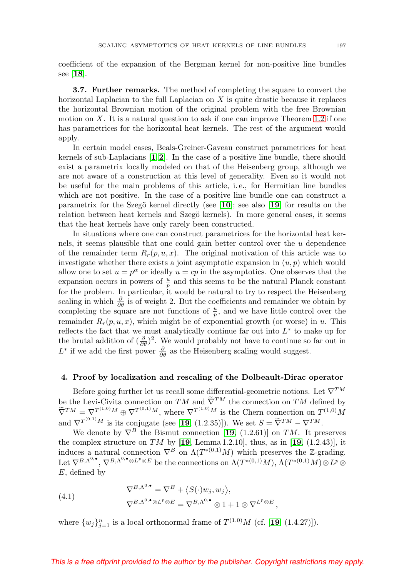coefficient of the expansion of the Bergman kernel for non-positive line bundles see [**[18](#page-27-14)**].

<span id="page-22-1"></span>**3.7. Further remarks.** The method of completing the square to convert the horizontal Laplacian to the full Laplacian on X is quite drastic because it replaces the horizontal Brownian motion of the original problem with the free Brownian motion on  $X$ . It is a natural question to ask if one can improve Theorem [1.2](#page-4-0) if one has parametrices for the horizontal heat kernels. The rest of the argument would apply.

In certain model cases, Beals-Greiner-Gaveau construct parametrices for heat kernels of sub-Laplacians [**[1](#page-26-4)**,**[2](#page-26-5)**]. In the case of a positive line bundle, there should exist a parametrix locally modeled on that of the Heisenberg group, although we are not aware of a construction at this level of generality. Even so it would not be useful for the main problems of this article, i. e., for Hermitian line bundles which are not positive. In the case of a positive line bundle one can construct a parametrix for the Szegö kernel directly (see  $[10]$  $[10]$  $[10]$ ; see also  $[19]$  $[19]$  $[19]$  for results on the relation between heat kernels and Szegö kernels). In more general cases, it seems that the heat kernels have only rarely been constructed.

In situations where one can construct parametrices for the horizontal heat kernels, it seems plausible that one could gain better control over the u dependence of the remainder term  $R_r(p, u, x)$ . The original motivation of this article was to investigate whether there exists a joint asymptotic expansion in  $(u, p)$  which would allow one to set  $u = p^{\alpha}$  or ideally  $u = cp$  in the asymptotics. One observes that the expansion occurs in powers of  $\frac{u}{p}$  and this seems to be the natural Planck constant for the problem. In particular, it would be natural to try to respect the Heisenberg scaling in which  $\frac{\partial}{\partial \theta}$  is of weight 2. But the coefficients and remainder we obtain by completing the square are not functions of  $\frac{u}{p}$ , and we have little control over the remainder  $R_r(p, u, x)$ , which might be of exponential growth (or worse) in u. This reflects the fact that we must analytically continue far out into  $L^*$  to make up for the brutal addition of  $(\frac{\partial}{\partial \theta})^2$ . We would probably not have to continue so far out in  $L^*$  if we add the first power  $\frac{\partial}{\partial \theta}$  as the Heisenberg scaling would suggest.

### <span id="page-22-0"></span>**4. Proof by localization and rescaling of the Dolbeault-Dirac operator**

Before going further let us recall some differential-geometric notions. Let  $\nabla^{TM}$ be the Levi-Civita connection on  $TM$  and  $\tilde{\nabla}^{TM}$  the connection on  $TM$  defined by  $\widetilde{\nabla}^{TM} = \nabla^{T^{(1,0)}M} \oplus \nabla^{T^{(0,1)}M}$ , where  $\nabla^{T^{(1,0)}M}$  is the Chern connection on  $T^{(1,0)}M$ and  $\nabla^{T^{(0,1)}M}$  is its conjugate (see [[19](#page-27-0), (1.2.35)]). We set  $S = \widetilde{\nabla}^{TM} - \nabla^{TM}$ .

We denote by  $\nabla^B$  the Bismut connection [**[19](#page-27-0)**, (1.2.61)] on TM. It preserves the complex structure on TM by  $[19, \text{Lemma } 1.2.10]$  $[19, \text{Lemma } 1.2.10]$  $[19, \text{Lemma } 1.2.10]$ , thus, as in  $[19, (1.2.43)]$ , it induces a natural connection  $\nabla^B$  on  $\Lambda(T^{*(0,1)}M)$  which preserves the Z-grading. Let  $\nabla^{B,\Lambda^{0,\bullet}}, \nabla^{B,\Lambda^{0,\bullet}\otimes L^p\otimes E}$  be the connections on  $\Lambda(T^{*(0,1)}M), \Lambda(T^{*(0,1)}M)\otimes L^p\otimes$  $E$ , defined by

(4.1) 
$$
\nabla^{B,\Lambda^{0,\bullet}} = \nabla^B + \langle S(\cdot)w_j, \overline{w}_j \rangle, \n\nabla^{B,\Lambda^{0,\bullet}} \otimes L^p \otimes E = \nabla^{B,\Lambda^{0,\bullet}} \otimes 1 + 1 \otimes \nabla^{L^p \otimes E},
$$

where  $\{w_j\}_{j=1}^n$  is a local orthonormal frame of  $T^{(1,0)}M$  (cf. [[19](#page-27-0), (1.4.27)]).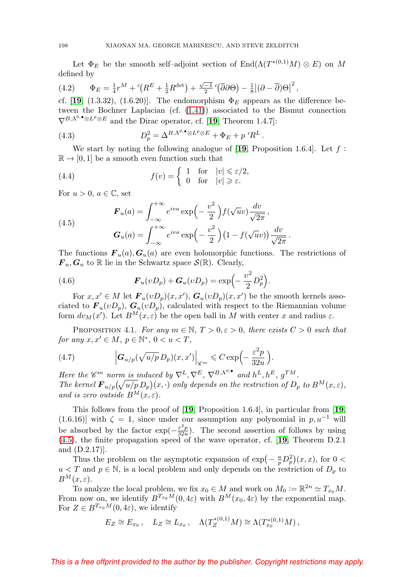Let  $\Phi_E$  be the smooth self–adjoint section of End( $\Lambda(T^{*(0,1)}M) \otimes E$ ) on M defined by

(4.2) 
$$
\Phi_E = \frac{1}{4}r^M + {^c}(R^E + \frac{1}{2}R^{\text{det}}) + \frac{\sqrt{-1}}{2}({\overline{\partial}}\partial\Theta) - \frac{1}{8}|(\partial - {\overline{\partial}})\Theta|^2,
$$

cf. [**[19](#page-27-0)**, (1.3.32), (1.6.20)]. The endomorphism  $\Phi_E$  appears as the difference between the Bochner Laplacian (cf. [\(1.41\)](#page-8-0)) associated to the Bismut connection  $\nabla^{B,\Lambda^0,\bullet}\otimes L^p\otimes E$  and the Dirac operator, cf. [[19](#page-27-0), Theorem 1.4.7]:

<span id="page-23-0"></span>(4.3) 
$$
D_p^2 = \Delta^{B,\Lambda^{0,\bullet} \otimes L^p \otimes E} + \Phi_E + p^c R^L.
$$

We start by noting the following analogue of  $[19,$  $[19,$  $[19,$  Proposition 1.6.4.]. Let f:  $\mathbb{R} \to [0, 1]$  be a smooth even function such that

(4.4) 
$$
f(v) = \begin{cases} 1 & \text{for} \quad |v| \leq \varepsilon/2, \\ 0 & \text{for} \quad |v| \geq \varepsilon. \end{cases}
$$

For  $u > 0$ ,  $a \in \mathbb{C}$ , set

<span id="page-23-1"></span>(4.5)  

$$
\mathbf{F}_u(a) = \int_{-\infty}^{+\infty} e^{iva} \exp\left(-\frac{v^2}{2}\right) f(\sqrt{u}v) \frac{dv}{\sqrt{2\pi}},
$$

$$
\mathbf{G}_u(a) = \int_{-\infty}^{+\infty} e^{iva} \exp\left(-\frac{v^2}{2}\right) (1 - f(\sqrt{u}v)) \frac{dv}{\sqrt{2\pi}}.
$$

The functions  $\mathbf{F}_u(a), \mathbf{G}_u(a)$  are even holomorphic functions. The restrictions of  $\mathbf{F}_u, \mathbf{G}_u$  to R lie in the Schwartz space  $\mathcal{S}(\mathbb{R})$ . Clearly,

(4.6) 
$$
\boldsymbol{F}_u(vD_p) + \boldsymbol{G}_u(vD_p) = \exp\left(-\frac{v^2}{2}D_p^2\right).
$$

For  $x, x' \in M$  let  $\mathbf{F}_u(vD_p)(x, x')$ ,  $\mathbf{G}_u(vD_p)(x, x')$  be the smooth kernels associated to  $\mathbf{F}_u(vD_p)$ ,  $\mathbf{G}_u(vD_p)$ , calculated with respect to the Riemannian volume form  $dv_M(x')$ . Let  $B^M(x,\varepsilon)$  be the open ball in M with center x and radius  $\varepsilon$ .

<span id="page-23-2"></span>PROPOSITION 4.1. For any  $m \in \mathbb{N}$ ,  $T > 0, \varepsilon > 0$ , there exists  $C > 0$  such that for any  $x, x' \in M$ ,  $p \in \mathbb{N}^*$ ,  $0 < u < T$ ,

(4.7) 
$$
\left| \mathbf{G}_{u/p}(\sqrt{u/p} \, D_p)(x,x') \right|_{\mathscr{C}^m} \leqslant C \exp\left(-\frac{\varepsilon^2 p}{32u}\right).
$$

Here the  $\mathscr{C}^m$  norm is induced by  $\nabla^L, \nabla^E, \nabla^{B,\Lambda^{0,\bullet}}$  and  $h^L, h^E, g^{TM}$ . The kernel  $\mathbf{F}_{u/p}(\sqrt{u/p}\,D_p)(x,\cdot)$  only depends on the restriction of  $D_p$  to  $B^M(x,\varepsilon)$ , and is zero outside  $B^M(x,\varepsilon)$ .

This follows from the proof of [**[19](#page-27-0)**, Proposition 1.6.4], in particular from [**[19](#page-27-0)**, (1.6.16)] with  $\zeta = 1$ , since under our assumption any polynomial in p,  $u^{-1}$  will be absorbed by the factor  $\exp(-\frac{\varepsilon^2 p}{32u})$ . The second assertion of follows by using [\(4.5\)](#page-23-1), the finite propagation speed of the wave operator, cf. [**[19](#page-27-0)**, Theorem D.2.1 and (D.2.17)].

Thus the problem on the asymptotic expansion of  $\exp(-\frac{u}{p}D_p^2)(x, x)$ , for  $0 <$  $u < T$  and  $p \in \mathbb{N}$ , is a local problem and only depends on the restriction of  $D_p$  to  $B^M(x,\varepsilon).$ 

To analyze the local problem, we fix  $x_0 \in M$  and work on  $M_0 := \mathbb{R}^{2n} \simeq T_{x_0}M$ . From now on, we identify  $B^{T_{x_0}M}(0, 4\varepsilon)$  with  $B^M(x_0, 4\varepsilon)$  by the exponential map. For  $Z \in B^{T_{x_0}M}(0, 4\varepsilon)$ , we identify

$$
E_Z \cong E_{x_0}
$$
,  $L_Z \cong L_{x_0}$ ,  $\Lambda(T_Z^{*(0,1)}M) \cong \Lambda(T_{x_0}^{*(0,1)}M)$ ,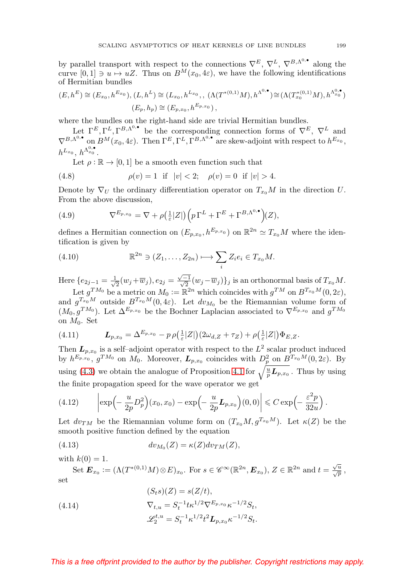by parallel transport with respect to the connections  $\nabla^E$ ,  $\nabla^L$ ,  $\nabla^{B,\Lambda^{0,\bullet}}$  along the curve  $[0, 1] \ni u \mapsto uZ$ . Thus on  $B^M(x_0, 4\varepsilon)$ , we have the following identifications of Hermitian bundles

$$
(E, h^{E}) \cong (E_{x_{0}}, h^{E_{x_{0}}}), (L, h^{L}) \cong (L_{x_{0}}, h^{L_{x_{0}}}, \Lambda(T^{*(0,1)}M), h^{\Lambda^{0,\bullet}}) \cong (\Lambda(T^{*(0,1)}_{x_{0}}M), h^{\Lambda^{0,\bullet}_{x_{0}}})
$$

$$
(E_{p}, h_{p}) \cong (E_{p,x_{0}}, h^{E_{p,x_{0}}}),
$$

where the bundles on the right-hand side are trivial Hermitian bundles.

Let  $\Gamma^E, \Gamma^L, \Gamma^{B,\Lambda^0, \bullet}$  be the corresponding connection forms of  $\nabla^E, \nabla^L$  and  $\nabla^{B,\Lambda^{0,\bullet}}$  on  $B^M(x_0, 4\varepsilon)$ . Then  $\Gamma^E, \Gamma^L, \Gamma^{B,\Lambda^{0,\bullet}}$  are skew-adjoint with respect to  $h^{E_{x_0}},$  $h^{L_{x_0}},$   $h^{\Lambda^{0,\bullet}_{x_0}}.$ 

Let  $\rho : \mathbb{R} \to [0, 1]$  be a smooth even function such that

(4.8) 
$$
\rho(v) = 1 \text{ if } |v| < 2; \quad \rho(v) = 0 \text{ if } |v| > 4.
$$

Denote by  $\nabla_U$  the ordinary differentiation operator on  $T_{x_0}M$  in the direction U. From the above discussion,

(4.9) 
$$
\nabla^{E_{p,x_0}} = \nabla + \rho \left( \frac{1}{\varepsilon} |Z| \right) \left( p \Gamma^L + \Gamma^E + \Gamma^{B,\Lambda^{0,\bullet}} \right) (Z),
$$

defines a Hermitian connection on  $(E_{p,x_0}, h^{E_{p,x_0}})$  on  $\mathbb{R}^{2n} \simeq T_{x_0}M$  where the identification is given by

(4.10) 
$$
\mathbb{R}^{2n} \ni (Z_1, \dots, Z_{2n}) \longmapsto \sum_i Z_i e_i \in T_{x_0} M.
$$

Here  $\{e_{2j-1} = \frac{1}{\sqrt{2}}(w_j + \overline{w}_j), e_{2j} = \frac{\sqrt{-1}}{\sqrt{2}}(w_j - \overline{w}_j)\}_j$  is an orthonormal basis of  $T_{x_0}M$ . Let  $g^{TM_0}$  be a metric on  $M_0 := \mathbb{R}^{2n}$  which coincides with  $g^{TM}$  on  $B^{T_{x_0}M}(0, 2\varepsilon)$ ,

and  $g^{T_{x_0}M}$  outside  $B^{T_{x_0}M}(0, 4\varepsilon)$ . Let  $dv_{M_0}$  be the Riemannian volume form of  $(M_0, g^{TM_0})$ . Let  $\Delta^{E_{p,x_0}}$  be the Bochner Laplacian associated to  $\nabla^{E_{p,x_0}}$  and  $g^{TM_0}$ on  $M_0$ . Set

(4.11) 
$$
\boldsymbol{L}_{p,x_0} = \Delta^{E_{p,x_0}} - p \, \rho\left(\tfrac{1}{\varepsilon}|Z|\right) \left(2\omega_{d,Z} + \tau_Z\right) + \rho\left(\tfrac{1}{\varepsilon}|Z|\right) \Phi_{E,Z}.
$$

Then  $L_{p,x_0}$  is a self-adjoint operator with respect to the  $L^2$  scalar product induced by  $h^{E_{p,x_0}}$ ,  $g^{TM_0}$  on  $M_0$ . Moreover,  $\boldsymbol{L}_{p,x_0}$  coincides with  $D_p^2$  on  $B^{T_{x_0}M}(0,2\varepsilon)$ . By using [\(4.3\)](#page-23-0) we obtain the analogue of Proposition [4.1](#page-23-2) for  $\sqrt{\frac{u}{p}L_{p,x_0}}$ . Thus by using the finite propagation speed for the wave operator we get

(4.12) 
$$
\left|\exp\left(-\frac{u}{2p}D_p^2\right)(x_0,x_0)-\exp\left(-\frac{u}{2p}\mathbf{L}_{p,x_0}\right)(0,0)\right|\leqslant C\exp\left(-\frac{\varepsilon^2p}{32u}\right).
$$

Let  $dv_{TM}$  be the Riemannian volume form on  $(T_{x_0}M,g^{T_{x_0}M})$ . Let  $\kappa(Z)$  be the smooth positive function defined by the equation

(4.13) 
$$
dv_{M_0}(Z) = \kappa(Z)dv_{TM}(Z),
$$

with  $k(0) = 1$ .

Set  $\mathbf{E}_{x_0} := (\Lambda(T^{*(0,1)}M)\otimes E)_{x_0}$ . For  $s \in \mathscr{C}^{\infty}(\mathbb{R}^{2n}, \mathbf{E}_{x_0}), Z \in \mathbb{R}^{2n}$  and  $t = \frac{\sqrt{u}}{\sqrt{p}}$ , set

(4.14) 
$$
(S_t s)(Z) = s(Z/t),
$$

$$
\nabla_{t,u} = S_t^{-1} t \kappa^{1/2} \nabla^{E_{p,x_0}} \kappa^{-1/2} S_t,
$$

$$
\mathcal{L}_2^{t,u} = S_t^{-1} \kappa^{1/2} t^2 \mathbf{L}_{p,x_0} \kappa^{-1/2} S_t.
$$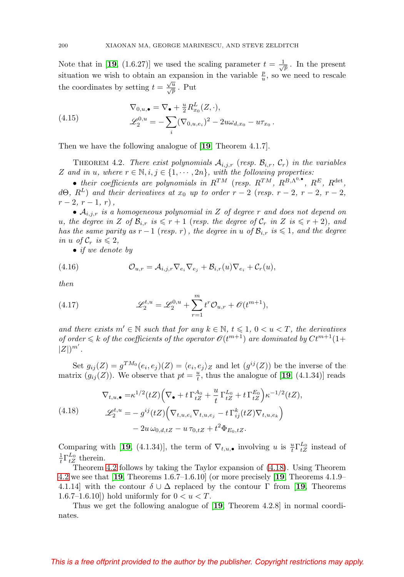Note that in [[19](#page-27-0), (1.6.27)] we used the scaling parameter  $t = \frac{1}{\sqrt{p}}$ . In the present situation we wish to obtain an expansion in the variable  $\frac{p}{u}$ , so we need to rescale the coordinates by setting  $t = \frac{\sqrt{u}}{\sqrt{p}}$ . Put

<span id="page-25-0"></span>(4.15) 
$$
\nabla_{0,u,\bullet} = \nabla_{\bullet} + \frac{u}{2} R_{x_0}^L(Z, \cdot),
$$

$$
\mathscr{L}_2^{0,u} = -\sum_i (\nabla_{0,u,e_i})^2 - 2u\omega_{d,x_0} - u\tau_{x_0}.
$$

Then we have the following analogue of [**[19](#page-27-0)**, Theorem 4.1.7].

<span id="page-25-1"></span>THEOREM 4.2. There exist polynomials  $A_{i,j,r}$  (resp.  $\mathcal{B}_{i,r}, \mathcal{C}_r$ ) in the variables  $Z$  and in u, where  $r \in \mathbb{N}, i, j \in \{1, \cdots, 2n\}$ , with the following properties:

• their coefficients are polynomials in  $R^{TM}$  (resp.  $R^{TM}$ ,  $R^{B,\Lambda^{0,\bullet}}$ ,  $R^{E}$ ,  $R^{\text{det}}$ , d $\Theta$ ,  $R^L$ ) and their derivatives at  $x_0$  up to order  $r-2$  (resp.  $r-2$ ,  $r-2$ ,  $r-2$ ,  $r-2, r-1, r$ ,

•  $A_{i,j,r}$  is a homogeneous polynomial in Z of degree r and does not depend on u, the degree in Z of  $\mathcal{B}_{i,r}$  is  $\leqslant r+1$  (resp. the degree of  $\mathcal{C}_r$  in Z is  $\leqslant r+2$ ), and has the same parity as  $r-1$  (resp. r), the degree in u of  $\mathcal{B}_{i,r}$  is  $\leqslant 1$ , and the degree in u of  $\mathcal{C}_r$  is  $\leqslant 2$ ,

• if we denote by

(4.16) 
$$
\mathcal{O}_{u,r} = \mathcal{A}_{i,j,r} \nabla_{e_i} \nabla_{e_j} + \mathcal{B}_{i,r}(u) \nabla_{e_i} + \mathcal{C}_r(u),
$$

then

(4.17) 
$$
\mathscr{L}_2^{t,u} = \mathscr{L}_2^{0,u} + \sum_{r=1}^m t^r \mathcal{O}_{u,r} + \mathcal{O}(t^{m+1}),
$$

and there exists  $m' \in \mathbb{N}$  such that for any  $k \in \mathbb{N}$ ,  $t \leq 1$ ,  $0 < u < T$ , the derivatives of order  $\leq k$  of the coefficients of the operator  $\mathcal{O}(t^{m+1})$  are dominated by  $C t^{m+1}(1+t)$  $|Z|)^{m'}$ .

Set  $g_{ij}(Z) = g^{TM_0}(e_i, e_j)(Z) = \langle e_i, e_j \rangle_Z$  and let  $(g^{ij}(Z))$  be the inverse of the matrix  $(g_{ij}(Z))$ . We observe that  $pt = \frac{u}{t}$ , thus the analogue of [[19](#page-27-0), (4.1.34)] reads

<span id="page-25-2"></span>
$$
\nabla_{t,u,\bullet} = \kappa^{1/2} (tZ) \Big( \nabla_{\bullet} + t \Gamma_{tZ}^{A_0} + \frac{u}{t} \Gamma_{tZ}^{L_0} + t \Gamma_{tZ}^{E_0} \Big) \kappa^{-1/2} (tZ),
$$
\n
$$
\mathscr{L}_2^{t,u} = -g^{ij} (tZ) \Big( \nabla_{t,u,e_i} \nabla_{t,u,e_j} - t \Gamma_{ij}^k (tZ) \nabla_{t,u,e_k} \Big) - 2u \,\omega_{0,d,tZ} - u \,\tau_{0,tZ} + t^2 \Phi_{E_0,tZ}.
$$

Comparing with [[19](#page-27-0), (4.1.34)], the term of  $\nabla_{t,u,\bullet}$  involving u is  $\frac{u}{t}\Gamma_{tZ}^{L_0}$  instead of  $\frac{1}{t} \Gamma_{tZ}^{L_0}$  therein.

Theorem [4.2](#page-25-1) follows by taking the Taylor expansion of [\(4.18\)](#page-25-2). Using Theorem [4.2](#page-25-1) we see that [**[19](#page-27-0)**, Theorems 1.6.7–1.6.10] (or more precisely [**[19](#page-27-0)**, Theorems 4.1.9– 4.1.14] with the contour  $\delta \cup \Delta$  replaced by the contour  $\Gamma$  from [[19](#page-27-0), Theorems 1.6.7–1.6.10]) hold uniformly for  $0 < u < T$ .

Thus we get the following analogue of [**[19](#page-27-0)**, Theorem 4.2.8] in normal coordinates.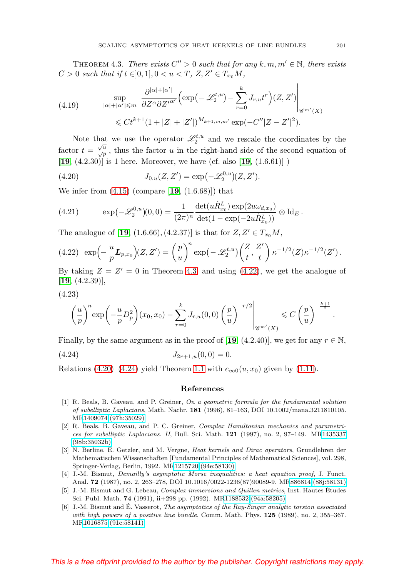<span id="page-26-6"></span>THEOREM 4.3. There exists  $C'' > 0$  such that for any  $k, m, m' \in \mathbb{N}$ , there exists  $C > 0$  such that if  $t \in ]0,1], 0 < u < T$ ,  $Z, Z' \in T_{x_0}M$ ,

(4.19) 
$$
\sup_{|\alpha|+|\alpha'| \leq m} \left| \frac{\partial^{|\alpha|+|\alpha'|}}{\partial Z^{\alpha} \partial Z'^{\alpha'}} \left( \exp\left(-\mathcal{L}_{2}^{t,u}\right) - \sum_{r=0}^{k} J_{r,u} t^{r} \right) (Z, Z') \right|_{\mathscr{C}^{m'}(X)} \leq C t^{k+1} (1+|Z|+|Z'|)^{M_{k+1,m,m'}} \exp\left(-C''|Z-Z'|^{2}\right).
$$

Note that we use the operator  $\mathscr{L}_2^{t,u}$  and we rescale the coordinates by the factor  $t = \frac{\sqrt{u}}{\sqrt{p}}$ , thus the factor u in the right-hand side of the second equation of [**[19](#page-27-0)**, (4.2.30)] is 1 here. Moreover, we have (cf. also [**[19](#page-27-0)**, (1.6.61)] )

<span id="page-26-8"></span>(4.20) 
$$
J_{0,u}(Z,Z') = \exp(-\mathscr{L}_2^{0,u})(Z,Z').
$$

We infer from [\(4.15\)](#page-25-0) (compare [**[19](#page-27-0)**, (1.6.68)]) that

(4.21) 
$$
\exp(-\mathscr{L}_2^{0,u})(0,0) = \frac{1}{(2\pi)^n} \frac{\det(u\dot{R}_{x_0}^L) \exp(2u\omega_{d,x_0})}{\det(1-\exp(-2u\dot{R}_{x_0}^L))} \otimes \mathrm{Id}_E.
$$

The analogue of [[19](#page-27-0), (1.6.66), (4.2.37)] is that for  $Z, Z' \in T_{x_0}M$ ,

<span id="page-26-7"></span>
$$
(4.22)\ \exp\left(-\frac{u}{p}\mathbf{L}_{p,x_0}\right)(Z,Z')=\left(\frac{p}{u}\right)^n\exp\left(-\mathscr{L}_2^{t,u}\right)\left(\frac{Z}{t},\frac{Z'}{t}\right)\kappa^{-1/2}(Z)\kappa^{-1/2}(Z').
$$

By taking  $Z = Z' = 0$  in Theorem [4.3,](#page-26-6) and using [\(4.22\)](#page-26-7), we get the analogue of [**[19](#page-27-0)**, (4.2.39)],

$$
(4.23)
$$

$$
\left| \left(\frac{u}{p}\right)^n \exp\left(-\frac{u}{p}D_p^2\right)(x_0, x_0) - \sum_{r=0}^k J_{r,u}(0,0) \left(\frac{p}{u}\right)^{-r/2} \right|_{\mathscr{C}^{m'}(X)} \leqslant C\left(\frac{p}{u}\right)^{-\frac{k+1}{2}}.
$$

Finally, by the same argument as in the proof of [**[19](#page-27-0)**, (4.2.40)], we get for any  $r \in \mathbb{N}$ ,

<span id="page-26-9"></span>
$$
(4.24) \t\t J_{2r+1,u}(0,0) = 0.
$$

Relations [\(4.20\)](#page-26-8)–[\(4.24\)](#page-26-9) yield Theorem [1.1](#page-2-0) with  $e_{\infty 0}(u, x_0)$  given by [\(1.11\)](#page-2-1).

### **References**

- <span id="page-26-4"></span>[1] R. Beals, B. Gaveau, and P. Greiner, On a geometric formula for the fundamental solution of subelliptic Laplacians, Math. Nachr. **181** (1996), 81–163, DOI 10.1002/mana.3211810105. M[R1409074 \(97h:35029\)](http://www.ams.org/mathscinet-getitem?mr=1409074)
- <span id="page-26-5"></span>[2] R. Beals, B. Gaveau, and P. C. Greiner, Complex Hamiltonian mechanics and parametrices for subelliptic Laplacians. II, Bull. Sci. Math. **121** (1997), no. 2, 97–149. M[R1435337](http://www.ams.org/mathscinet-getitem?mr=1435337) [\(98b:35032b\)](http://www.ams.org/mathscinet-getitem?mr=1435337)
- <span id="page-26-3"></span>[3] N. Berline, E. Getzler, and M. Vergne, Heat kernels and Dirac operators, Grundlehren der Mathematischen Wissenschaften [Fundamental Principles of Mathematical Sciences], vol. 298, Springer-Verlag, Berlin, 1992. M[R1215720 \(94e:58130\)](http://www.ams.org/mathscinet-getitem?mr=1215720)
- <span id="page-26-2"></span>[4] J.-M. Bismut, Demailly's asymptotic Morse inequalities: a heat equation proof, J. Funct. Anal. **72** (1987), no. 2, 263–278, DOI 10.1016/0022-1236(87)90089-9. M[R886814 \(88j:58131\)](http://www.ams.org/mathscinet-getitem?mr=886814)
- <span id="page-26-0"></span>[5] J.-M. Bismut and G. Lebeau, *Complex immersions and Quillen metrics*, Inst. Hautes Etudes Sci. Publ. Math. **74** (1991), ii+298 pp. (1992). M[R1188532 \(94a:58205\)](http://www.ams.org/mathscinet-getitem?mr=1188532)
- <span id="page-26-1"></span>[6] J.-M. Bismut and E. Vasserot, *The asymptotics of the Ray-Singer analytic torsion associated* with high powers of a positive line bundle, Comm. Math. Phys. **125** (1989), no. 2, 355–367. M[R1016875 \(91c:58141\)](http://www.ams.org/mathscinet-getitem?mr=1016875)